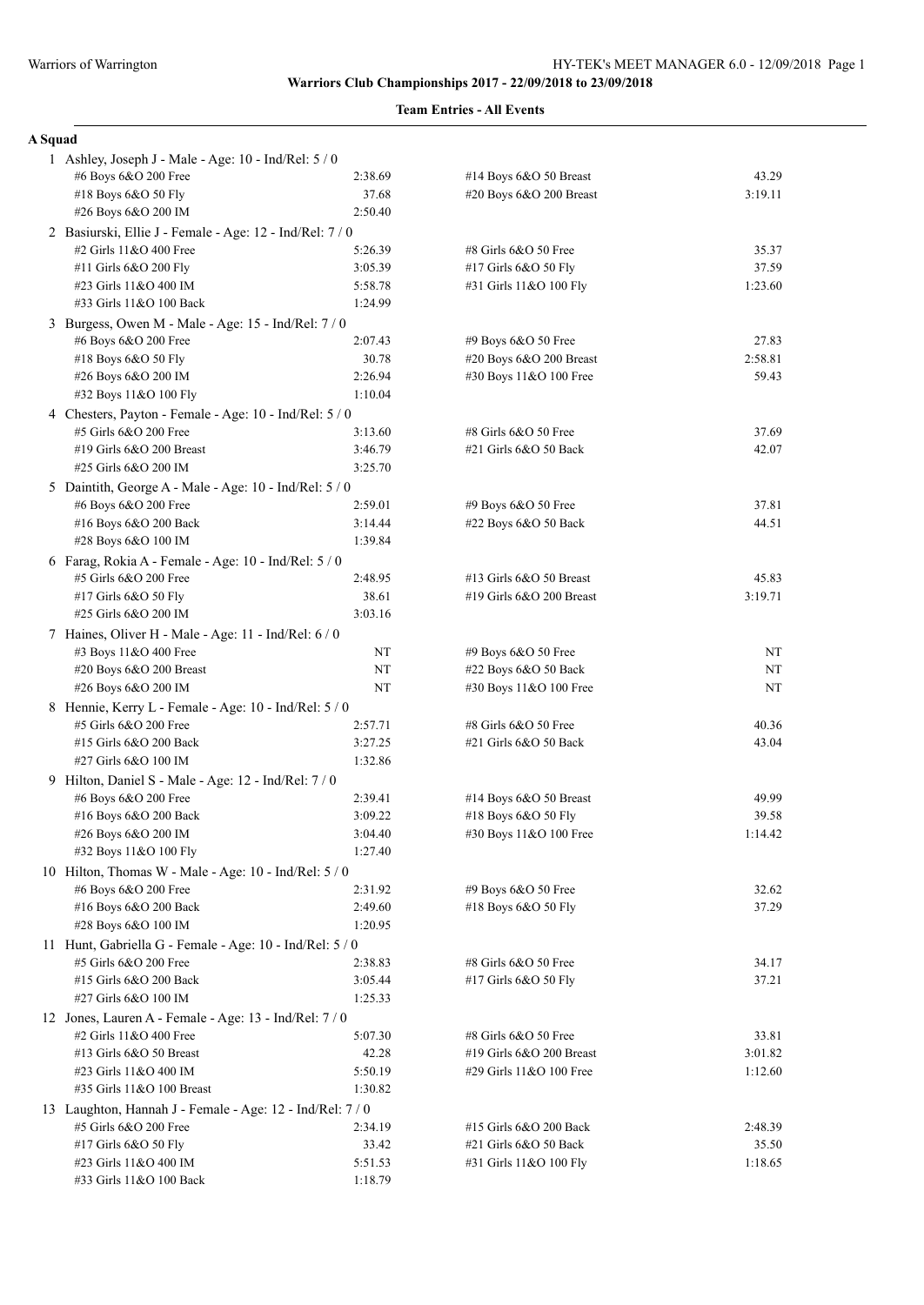|  | ы |
|--|---|
|  |   |

| 1 Ashley, Joseph J - Male - Age: 10 - Ind/Rel: 5 / 0     |                  |                                                     |                  |
|----------------------------------------------------------|------------------|-----------------------------------------------------|------------------|
| #6 Boys 6&O 200 Free                                     | 2:38.69          | #14 Boys 6&O 50 Breast                              | 43.29            |
| #18 Boys 6&O 50 Fly                                      | 37.68            | #20 Boys 6&O 200 Breast                             | 3:19.11          |
| #26 Boys 6&O 200 IM                                      | 2:50.40          |                                                     |                  |
| 2 Basiurski, Ellie J - Female - Age: 12 - Ind/Rel: 7 / 0 |                  |                                                     |                  |
| #2 Girls 11&O 400 Free                                   | 5:26.39          | #8 Girls 6&O 50 Free                                | 35.37            |
| #11 Girls 6&O 200 Fly                                    | 3:05.39          | #17 Girls 6&O 50 Fly                                | 37.59            |
| #23 Girls 11&O 400 IM                                    | 5:58.78          | #31 Girls 11&O 100 Fly                              | 1:23.60          |
| #33 Girls 11&O 100 Back                                  | 1:24.99          |                                                     |                  |
| 3 Burgess, Owen M - Male - Age: 15 - Ind/Rel: 7/0        |                  |                                                     |                  |
| #6 Boys 6&O 200 Free                                     | 2:07.43          | #9 Boys 6&O 50 Free                                 | 27.83            |
| #18 Boys 6&O 50 Fly                                      | 30.78            | #20 Boys 6&O 200 Breast                             | 2:58.81          |
| #26 Boys 6&O 200 IM                                      | 2:26.94          | #30 Boys 11&O 100 Free                              | 59.43            |
| #32 Boys 11&O 100 Fly                                    | 1:10.04          |                                                     |                  |
| 4 Chesters, Payton - Female - Age: 10 - Ind/Rel: 5 / 0   |                  |                                                     |                  |
| #5 Girls 6&O 200 Free                                    | 3:13.60          | #8 Girls 6&O 50 Free                                | 37.69            |
| #19 Girls 6&O 200 Breast                                 | 3:46.79          | $#21$ Girls $6&O$ 50 Back                           | 42.07            |
| #25 Girls 6&O 200 IM                                     | 3:25.70          |                                                     |                  |
| 5 Daintith, George A - Male - Age: 10 - Ind/Rel: 5 / 0   |                  |                                                     |                  |
| #6 Boys 6&O 200 Free                                     | 2:59.01          | #9 Boys 6&O 50 Free                                 | 37.81            |
| #16 Boys 6&O 200 Back                                    | 3:14.44          | #22 Boys 6&O 50 Back                                | 44.51            |
| #28 Boys 6&O 100 IM                                      | 1:39.84          |                                                     |                  |
| 6 Farag, Rokia A - Female - Age: 10 - Ind/Rel: 5 / 0     |                  |                                                     |                  |
| #5 Girls 6&O 200 Free                                    | 2:48.95          | #13 Girls 6&O 50 Breast                             | 45.83            |
| #17 Girls 6&O 50 Fly                                     | 38.61            | #19 Girls 6&O 200 Breast                            | 3:19.71          |
| #25 Girls 6&O 200 IM                                     | 3:03.16          |                                                     |                  |
| 7 Haines, Oliver H - Male - Age: 11 - Ind/Rel: 6 / 0     |                  |                                                     |                  |
| #3 Boys 11&O 400 Free                                    | NΤ               | #9 Boys 6&O 50 Free                                 | NT               |
| #20 Boys 6&O 200 Breast                                  | NT               | #22 Boys 6&O 50 Back                                | NT               |
| #26 Boys 6&O 200 IM                                      | NT               | #30 Boys 11&O 100 Free                              | NT               |
| 8 Hennie, Kerry L - Female - Age: 10 - Ind/Rel: 5 / 0    |                  |                                                     |                  |
| #5 Girls 6&O 200 Free                                    | 2:57.71          | #8 Girls 6&O 50 Free                                | 40.36            |
| #15 Girls 6&O 200 Back                                   | 3:27.25          | $#21$ Girls $6&O$ 50 Back                           | 43.04            |
| #27 Girls 6&O 100 IM                                     | 1:32.86          |                                                     |                  |
| 9 Hilton, Daniel S - Male - Age: 12 - Ind/Rel: 7 / 0     |                  |                                                     |                  |
| #6 Boys 6&O 200 Free                                     | 2:39.41          | #14 Boys $6&O$ 50 Breast                            | 49.99            |
| #16 Boys 6&O 200 Back                                    | 3:09.22          | #18 Boys 6&O 50 Fly                                 | 39.58            |
| #26 Boys 6&O 200 IM                                      | 3:04.40          | #30 Boys 11&O 100 Free                              | 1:14.42          |
| #32 Boys 11&O 100 Fly                                    | 1:27.40          |                                                     |                  |
| 10 Hilton, Thomas W - Male - Age: $10$ - Ind/Rel: $5/0$  |                  |                                                     |                  |
| #6 Boys 6&O 200 Free                                     | 2:31.92          | #9 Boys 6&O 50 Free                                 | 32.62            |
| #16 Boys 6&O 200 Back                                    | 2:49.60          | #18 Boys 6&O 50 Fly                                 | 37.29            |
| #28 Boys 6&O 100 IM                                      | 1:20.95          |                                                     |                  |
| 11 Hunt, Gabriella G - Female - Age: 10 - Ind/Rel: 5 / 0 |                  |                                                     |                  |
| #5 Girls 6&O 200 Free                                    | 2:38.83          | #8 Girls 6&O 50 Free                                | 34.17            |
| #15 Girls 6&O 200 Back                                   | 3:05.44          | #17 Girls 6&O 50 Fly                                | 37.21            |
| #27 Girls 6&O 100 IM                                     | 1:25.33          |                                                     |                  |
| 12 Jones, Lauren A - Female - Age: 13 - Ind/Rel: 7/0     |                  |                                                     |                  |
| #2 Girls 11&O 400 Free                                   | 5:07.30          | #8 Girls 6&O 50 Free                                | 33.81            |
| #13 Girls 6&O 50 Breast                                  | 42.28            | #19 Girls 6&O 200 Breast                            | 3:01.82          |
| #23 Girls 11&O 400 IM                                    | 5:50.19          | #29 Girls 11&O 100 Free                             | 1:12.60          |
| #35 Girls 11&O 100 Breast                                | 1:30.82          |                                                     |                  |
| 13 Laughton, Hannah J - Female - Age: 12 - Ind/Rel: 7/0  |                  |                                                     |                  |
| #5 Girls 6&O 200 Free                                    | 2:34.19          | #15 Girls 6&O 200 Back                              | 2:48.39          |
| #17 Girls 6&O 50 Fly<br>#23 Girls 11&O 400 IM            | 33.42<br>5:51.53 | $#21$ Girls $6&O$ 50 Back<br>#31 Girls 11&O 100 Fly | 35.50<br>1:18.65 |
| #33 Girls 11&O 100 Back                                  | 1:18.79          |                                                     |                  |
|                                                          |                  |                                                     |                  |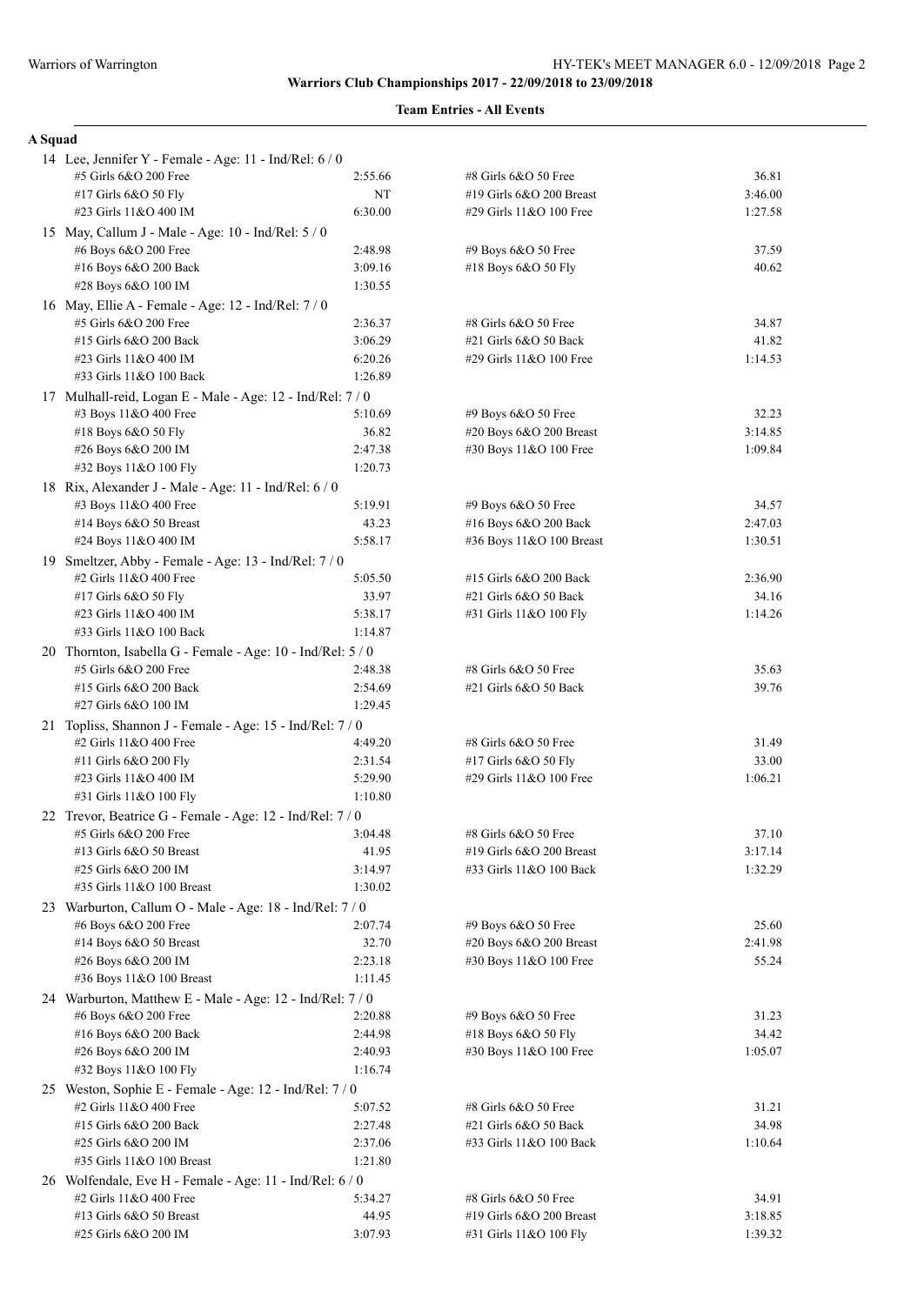| A Squad |                                                             |                  |                          |                  |
|---------|-------------------------------------------------------------|------------------|--------------------------|------------------|
|         | 14 Lee, Jennifer Y - Female - Age: 11 - Ind/Rel: 6 / 0      |                  |                          |                  |
|         | #5 Girls 6&O 200 Free                                       | 2:55.66          | #8 Girls 6&O 50 Free     | 36.81            |
|         | #17 Girls 6&O 50 Fly                                        | NT               | #19 Girls 6&O 200 Breast | 3:46.00          |
|         | #23 Girls 11&O 400 IM                                       | 6:30.00          | #29 Girls 11&O 100 Free  | 1:27.58          |
|         | 15 May, Callum J - Male - Age: 10 - Ind/Rel: 5 / 0          |                  |                          |                  |
|         | #6 Boys 6&O 200 Free                                        | 2:48.98          | #9 Boys 6&O 50 Free      | 37.59            |
|         | #16 Boys 6&O 200 Back                                       | 3:09.16          | #18 Boys 6&O 50 Fly      | 40.62            |
|         | #28 Boys 6&O 100 IM                                         | 1:30.55          |                          |                  |
|         | 16 May, Ellie A - Female - Age: 12 - Ind/Rel: 7/0           |                  |                          |                  |
|         | #5 Girls 6&O 200 Free                                       | 2:36.37          | #8 Girls 6&O 50 Free     | 34.87            |
|         | #15 Girls 6&O 200 Back                                      | 3:06.29          | #21 Girls 6&O 50 Back    | 41.82            |
|         | #23 Girls 11&O 400 IM                                       | 6:20.26          | #29 Girls 11&O 100 Free  | 1:14.53          |
|         | #33 Girls 11&O 100 Back                                     | 1:26.89          |                          |                  |
|         | 17 Mulhall-reid, Logan E - Male - Age: 12 - Ind/Rel: 7/0    |                  |                          |                  |
|         | #3 Boys 11&O 400 Free                                       | 5:10.69          | $#9$ Boys $6&O$ 50 Free  | 32.23            |
|         | #18 Boys 6&O 50 Fly                                         | 36.82            | #20 Boys 6&O 200 Breast  | 3:14.85          |
|         | #26 Boys 6&O 200 IM                                         | 2:47.38          | #30 Boys 11&O 100 Free   | 1:09.84          |
|         | #32 Boys 11&O 100 Fly                                       | 1:20.73          |                          |                  |
|         | 18 Rix, Alexander J - Male - Age: 11 - Ind/Rel: 6 / 0       |                  |                          |                  |
|         | #3 Boys 11&O 400 Free                                       | 5:19.91          | #9 Boys 6&O 50 Free      | 34.57<br>2:47.03 |
|         | #14 Boys 6&O 50 Breast<br>#24 Boys 11&O 400 IM              | 43.23<br>5:58.17 | #16 Boys 6&O 200 Back    | 1:30.51          |
|         |                                                             |                  | #36 Boys 11&O 100 Breast |                  |
|         | 19 Smeltzer, Abby - Female - Age: 13 - Ind/Rel: 7 / 0       | 5:05.50          | #15 Girls 6&O 200 Back   | 2:36.90          |
|         | #2 Girls 11&O 400 Free<br>#17 Girls 6&O 50 Fly              | 33.97            | #21 Girls 6&O 50 Back    | 34.16            |
|         | #23 Girls 11&O 400 IM                                       | 5:38.17          | #31 Girls 11&O 100 Fly   | 1:14.26          |
|         | #33 Girls 11&O 100 Back                                     | 1:14.87          |                          |                  |
|         | 20 Thornton, Isabella G - Female - Age: 10 - Ind/Rel: 5 / 0 |                  |                          |                  |
|         | #5 Girls 6&O 200 Free                                       | 2:48.38          | #8 Girls 6&O 50 Free     | 35.63            |
|         | #15 Girls 6&O 200 Back                                      | 2:54.69          | #21 Girls 6&O 50 Back    | 39.76            |
|         | #27 Girls 6&O 100 IM                                        | 1:29.45          |                          |                  |
|         | 21 Topliss, Shannon J - Female - Age: 15 - Ind/Rel: 7 / 0   |                  |                          |                  |
|         | #2 Girls 11&O 400 Free                                      | 4:49.20          | #8 Girls 6&O 50 Free     | 31.49            |
|         | #11 Girls 6&O 200 Fly                                       | 2:31.54          | #17 Girls 6&O 50 Fly     | 33.00            |
|         | #23 Girls 11&O 400 IM                                       | 5:29.90          | #29 Girls 11&O 100 Free  | 1:06.21          |
|         | #31 Girls 11&O 100 Fly                                      | 1:10.80          |                          |                  |
|         | 22 Trevor, Beatrice G - Female - Age: 12 - Ind/Rel: 7/0     |                  |                          |                  |
|         | #5 Girls 6&O 200 Free                                       | 3:04.48          | #8 Girls 6&O 50 Free     | 37.10            |
|         | #13 Girls 6&O 50 Breast                                     | 41.95            | #19 Girls 6&O 200 Breast | 3:17.14          |
|         | #25 Girls 6&O 200 IM                                        | 3:14.97          | #33 Girls 11&O 100 Back  | 1:32.29          |
|         | #35 Girls 11&O 100 Breast                                   | 1:30.02          |                          |                  |
|         | 23 Warburton, Callum O - Male - Age: 18 - Ind/Rel: 7 / 0    |                  |                          |                  |
|         | #6 Boys 6&O 200 Free                                        | 2:07.74          | #9 Boys 6&O 50 Free      | 25.60            |
|         | #14 Boys 6&O 50 Breast                                      | 32.70            | #20 Boys 6&O 200 Breast  | 2:41.98          |
|         | #26 Boys 6&O 200 IM                                         | 2:23.18          | #30 Boys 11&O 100 Free   | 55.24            |
|         | #36 Boys 11&O 100 Breast                                    | 1:11.45          |                          |                  |
|         | 24 Warburton, Matthew E - Male - Age: 12 - Ind/Rel: 7 / 0   |                  |                          |                  |
|         | #6 Boys 6&O 200 Free                                        | 2:20.88          | #9 Boys 6&O 50 Free      | 31.23            |
|         | #16 Boys 6&O 200 Back                                       | 2:44.98          | #18 Boys 6&O 50 Fly      | 34.42            |
|         | #26 Boys 6&O 200 IM                                         | 2:40.93          | #30 Boys 11&O 100 Free   | 1:05.07          |
|         | #32 Boys 11&O 100 Fly                                       | 1:16.74          |                          |                  |
|         | 25 Weston, Sophie E - Female - Age: 12 - Ind/Rel: 7 / 0     |                  |                          |                  |
|         | #2 Girls 11&O 400 Free                                      | 5:07.52          | #8 Girls 6&O 50 Free     | 31.21            |
|         | #15 Girls 6&O 200 Back                                      | 2:27.48          | #21 Girls 6&O 50 Back    | 34.98            |
|         | #25 Girls 6&O 200 IM                                        | 2:37.06          | #33 Girls 11&O 100 Back  | 1:10.64          |
|         | #35 Girls 11&O 100 Breast                                   | 1:21.80          |                          |                  |
|         | 26 Wolfendale, Eve H - Female - Age: 11 - Ind/Rel: 6 / 0    |                  |                          |                  |
|         | #2 Girls 11&O 400 Free                                      | 5:34.27          | #8 Girls 6&O 50 Free     | 34.91            |
|         | #13 Girls 6&O 50 Breast                                     | 44.95            | #19 Girls 6&O 200 Breast | 3:18.85          |
|         | #25 Girls 6&O 200 IM                                        | 3:07.93          | #31 Girls 11&O 100 Fly   | 1:39.32          |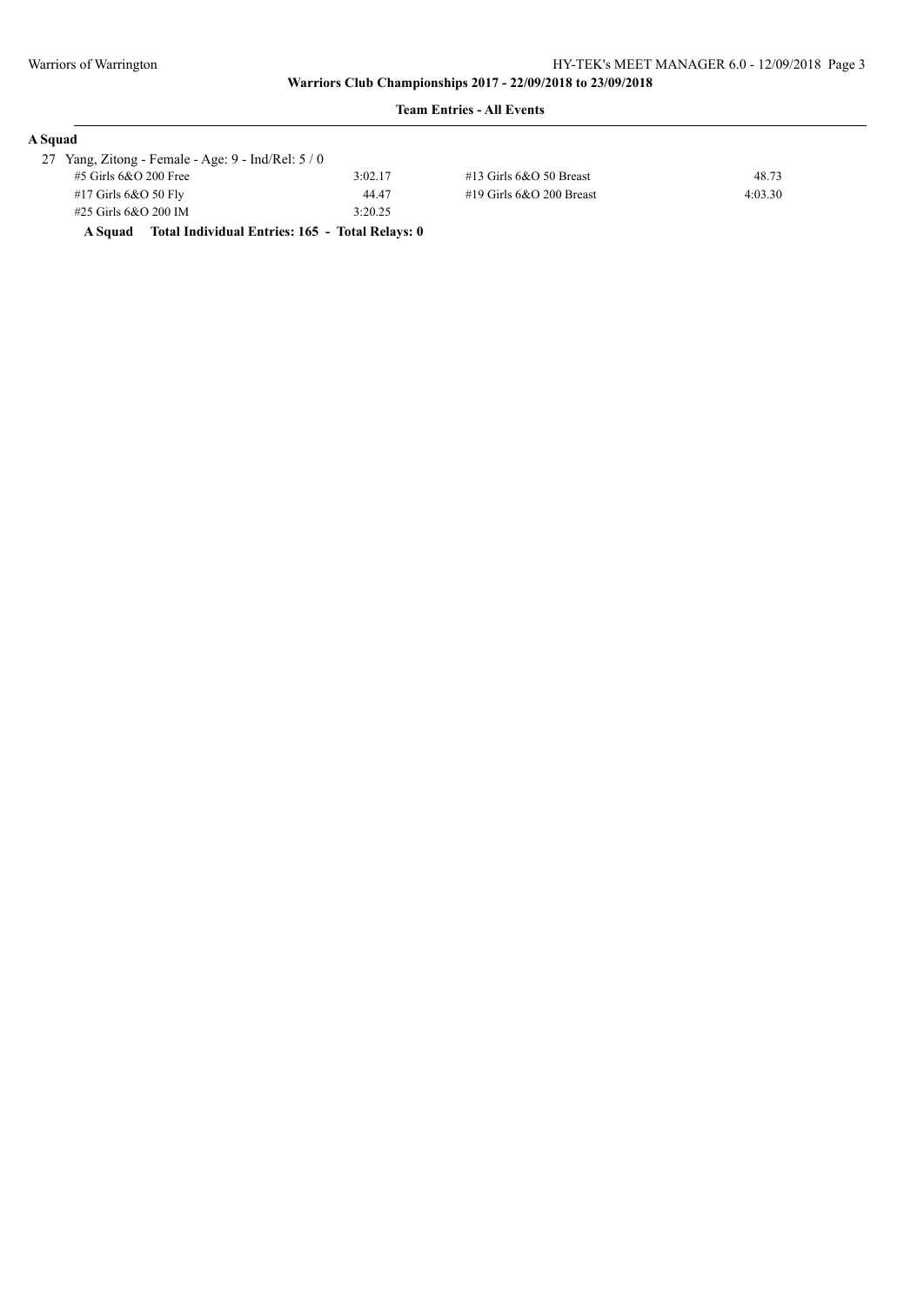| A Squad |                                                      |                                                 |                            |         |
|---------|------------------------------------------------------|-------------------------------------------------|----------------------------|---------|
|         | 27 Yang, Zitong - Female - Age: $9$ - Ind/Rel: $5/0$ |                                                 |                            |         |
|         | $#5$ Girls 6&O 200 Free                              | 3:02.17                                         | $#13$ Girls 6&O 50 Breast  | 48.73   |
|         | $#17$ Girls 6&O 50 Fly                               | 44.47                                           | #19 Girls $6&O$ 200 Breast | 4:03.30 |
|         | $#25$ Girls 6&O 200 IM                               | 3:20.25                                         |                            |         |
|         | A Squad                                              | Total Individual Entries: 165 - Total Relays: 0 |                            |         |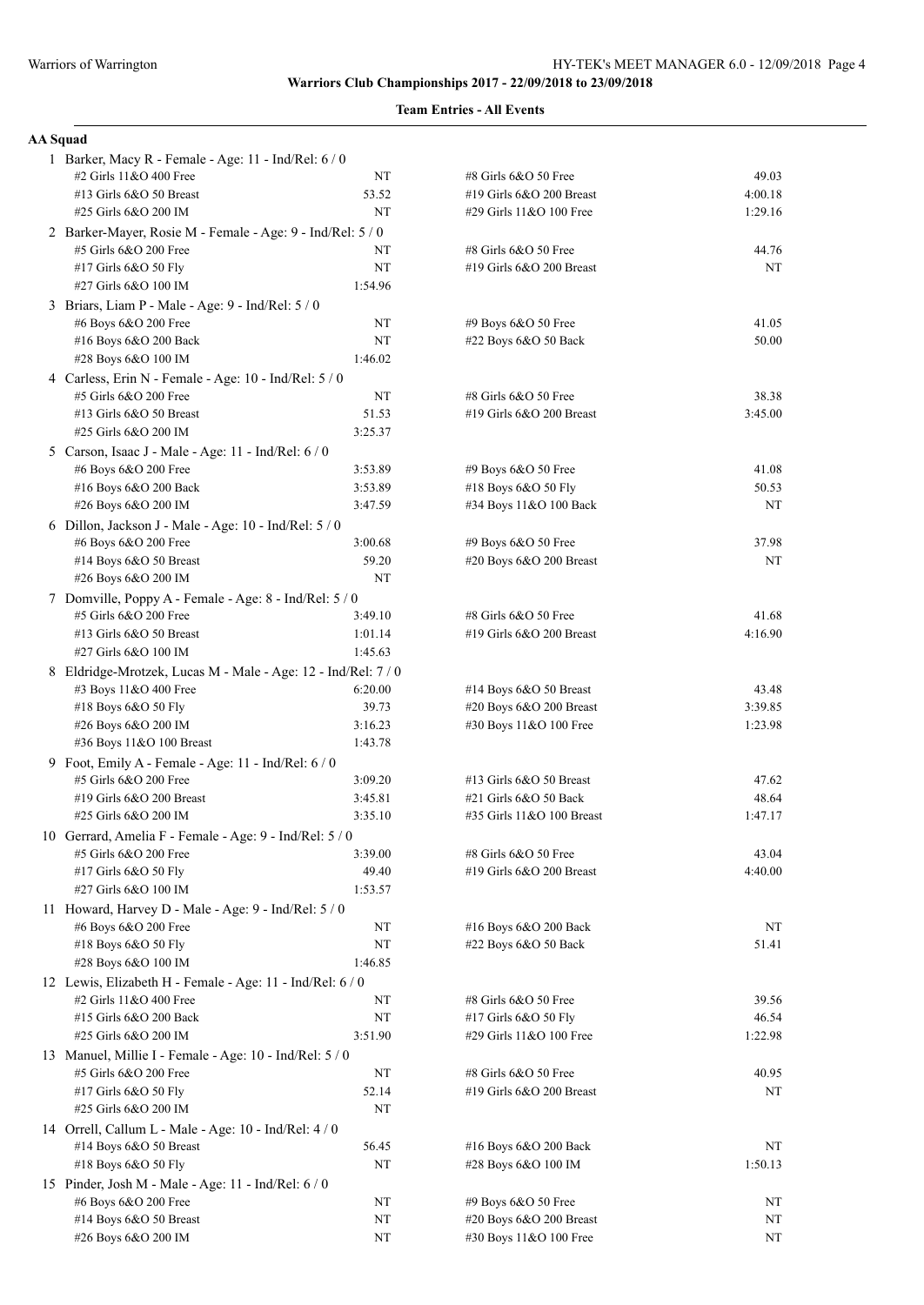# **Team Entries - All Events**

### **AA Squad**

| 1 Barker, Macy R - Female - Age: 11 - Ind/Rel: 6 / 0          |                    |                                                   |         |
|---------------------------------------------------------------|--------------------|---------------------------------------------------|---------|
| #2 Girls 11&O 400 Free                                        | NT                 | #8 Girls 6&O 50 Free                              | 49.03   |
| #13 Girls 6&O 50 Breast                                       | 53.52              | #19 Girls 6&O 200 Breast                          | 4:00.18 |
| #25 Girls 6&O 200 IM                                          | NT                 | #29 Girls 11&O 100 Free                           | 1:29.16 |
| 2 Barker-Mayer, Rosie M - Female - Age: 9 - Ind/Rel: 5 / 0    |                    |                                                   |         |
| #5 Girls 6&O 200 Free                                         | NT                 | #8 Girls 6&O 50 Free                              | 44.76   |
| #17 Girls 6&O 50 Fly                                          | NT                 | #19 Girls 6&O 200 Breast                          | NT      |
| #27 Girls 6&O 100 IM                                          | 1:54.96            |                                                   |         |
| 3 Briars, Liam P - Male - Age: 9 - Ind/Rel: 5 / 0             |                    |                                                   |         |
| #6 Boys 6&O 200 Free                                          | NT                 | #9 Boys 6&O 50 Free                               | 41.05   |
| #16 Boys 6&O 200 Back                                         | NT                 | #22 Boys 6&O 50 Back                              | 50.00   |
| #28 Boys 6&O 100 IM                                           | 1:46.02            |                                                   |         |
| 4 Carless, Erin N - Female - Age: 10 - Ind/Rel: 5 / 0         |                    |                                                   |         |
| #5 Girls 6&O 200 Free                                         | NT                 | #8 Girls 6&O 50 Free                              | 38.38   |
| #13 Girls 6&O 50 Breast                                       | 51.53              | #19 Girls 6&O 200 Breast                          | 3:45.00 |
| #25 Girls 6&O 200 IM                                          | 3:25.37            |                                                   |         |
| 5 Carson, Isaac J - Male - Age: 11 - Ind/Rel: 6 / 0           |                    |                                                   |         |
| #6 Boys 6&O 200 Free                                          | 3:53.89            | #9 Boys 6&O 50 Free                               | 41.08   |
| #16 Boys 6&O 200 Back                                         | 3:53.89            | #18 Boys 6&O 50 Fly                               | 50.53   |
| #26 Boys 6&O 200 IM                                           | 3:47.59            | #34 Boys 11&O 100 Back                            | NT      |
| 6 Dillon, Jackson J - Male - Age: 10 - Ind/Rel: 5 / 0         |                    |                                                   |         |
| #6 Boys 6&O 200 Free                                          | 3:00.68            | #9 Boys 6&O 50 Free                               | 37.98   |
| #14 Boys 6&O 50 Breast                                        | 59.20              | #20 Boys 6&O 200 Breast                           | NT      |
| #26 Boys 6&O 200 IM                                           | NT                 |                                                   |         |
| 7 Domville, Poppy A - Female - Age: 8 - Ind/Rel: 5 / 0        |                    |                                                   |         |
| #5 Girls 6&O 200 Free                                         | 3:49.10            | #8 Girls 6&O 50 Free                              | 41.68   |
| #13 Girls 6&O 50 Breast                                       | 1:01.14<br>1:45.63 | #19 Girls 6&O 200 Breast                          | 4:16.90 |
| #27 Girls 6&O 100 IM                                          |                    |                                                   |         |
| 8 Eldridge-Mrotzek, Lucas M - Male - Age: 12 - Ind/Rel: 7 / 0 | 6:20.00            |                                                   | 43.48   |
| #3 Boys 11&O 400 Free<br>#18 Boys 6&O 50 Fly                  | 39.73              | #14 Boys 6&O 50 Breast<br>#20 Boys 6&O 200 Breast | 3:39.85 |
| #26 Boys 6&O 200 IM                                           | 3:16.23            | #30 Boys 11&O 100 Free                            | 1:23.98 |
| #36 Boys 11&O 100 Breast                                      | 1:43.78            |                                                   |         |
| 9 Foot, Emily A - Female - Age: 11 - Ind/Rel: 6 / 0           |                    |                                                   |         |
| #5 Girls 6&O 200 Free                                         | 3:09.20            | #13 Girls 6&O 50 Breast                           | 47.62   |
| #19 Girls 6&O 200 Breast                                      | 3:45.81            | #21 Girls 6&O 50 Back                             | 48.64   |
| #25 Girls 6&O 200 IM                                          | 3:35.10            | #35 Girls 11&O 100 Breast                         | 1:47.17 |
| 10 Gerrard, Amelia F - Female - Age: 9 - Ind/Rel: 5 / 0       |                    |                                                   |         |
| #5 Girls 6&O 200 Free                                         | 3:39.00            | #8 Girls 6&O 50 Free                              | 43.04   |
| #17 Girls 6&O 50 Fly                                          | 49.40              | #19 Girls 6&O 200 Breast                          | 4:40.00 |
| #27 Girls 6&O 100 IM                                          | 1:53.57            |                                                   |         |
| 11 Howard, Harvey D - Male - Age: 9 - Ind/Rel: 5 / 0          |                    |                                                   |         |
| #6 Boys 6&O 200 Free                                          | NT                 | #16 Boys 6&O 200 Back                             | NT      |
| #18 Boys 6&O 50 Fly                                           | NT                 | #22 Boys 6&O 50 Back                              | 51.41   |
| #28 Boys 6&O 100 IM                                           | 1:46.85            |                                                   |         |
| 12 Lewis, Elizabeth H - Female - Age: 11 - Ind/Rel: 6 / 0     |                    |                                                   |         |
| #2 Girls 11&O 400 Free                                        | NT                 | #8 Girls 6&O 50 Free                              | 39.56   |
| #15 Girls 6&O 200 Back                                        | NT                 | #17 Girls 6&O 50 Fly                              | 46.54   |
| #25 Girls 6&O 200 IM                                          | 3:51.90            | #29 Girls 11&O 100 Free                           | 1:22.98 |
| 13 Manuel, Millie I - Female - Age: 10 - Ind/Rel: 5 / 0       |                    |                                                   |         |
| #5 Girls 6&O 200 Free                                         | NT                 | #8 Girls 6&O 50 Free                              | 40.95   |
| #17 Girls 6&O 50 Fly                                          | 52.14              | #19 Girls 6&O 200 Breast                          | NT      |
| #25 Girls 6&O 200 IM                                          | NT                 |                                                   |         |
| 14 Orrell, Callum L - Male - Age: 10 - Ind/Rel: 4 / 0         |                    |                                                   |         |
| #14 Boys 6&O 50 Breast                                        | 56.45              | #16 Boys 6&O 200 Back                             | NT      |
| #18 Boys 6&O 50 Fly                                           | NT                 | #28 Boys 6&O 100 IM                               | 1:50.13 |
| 15 Pinder, Josh M - Male - Age: 11 - Ind/Rel: 6 / 0           |                    |                                                   |         |
| #6 Boys 6&O 200 Free                                          | NT                 | #9 Boys 6&O 50 Free                               | NT      |
| #14 Boys 6&O 50 Breast                                        | NT                 | #20 Boys 6&O 200 Breast                           | NT      |
| #26 Boys 6&O 200 IM                                           | NT                 | #30 Boys 11&O 100 Free                            | NT      |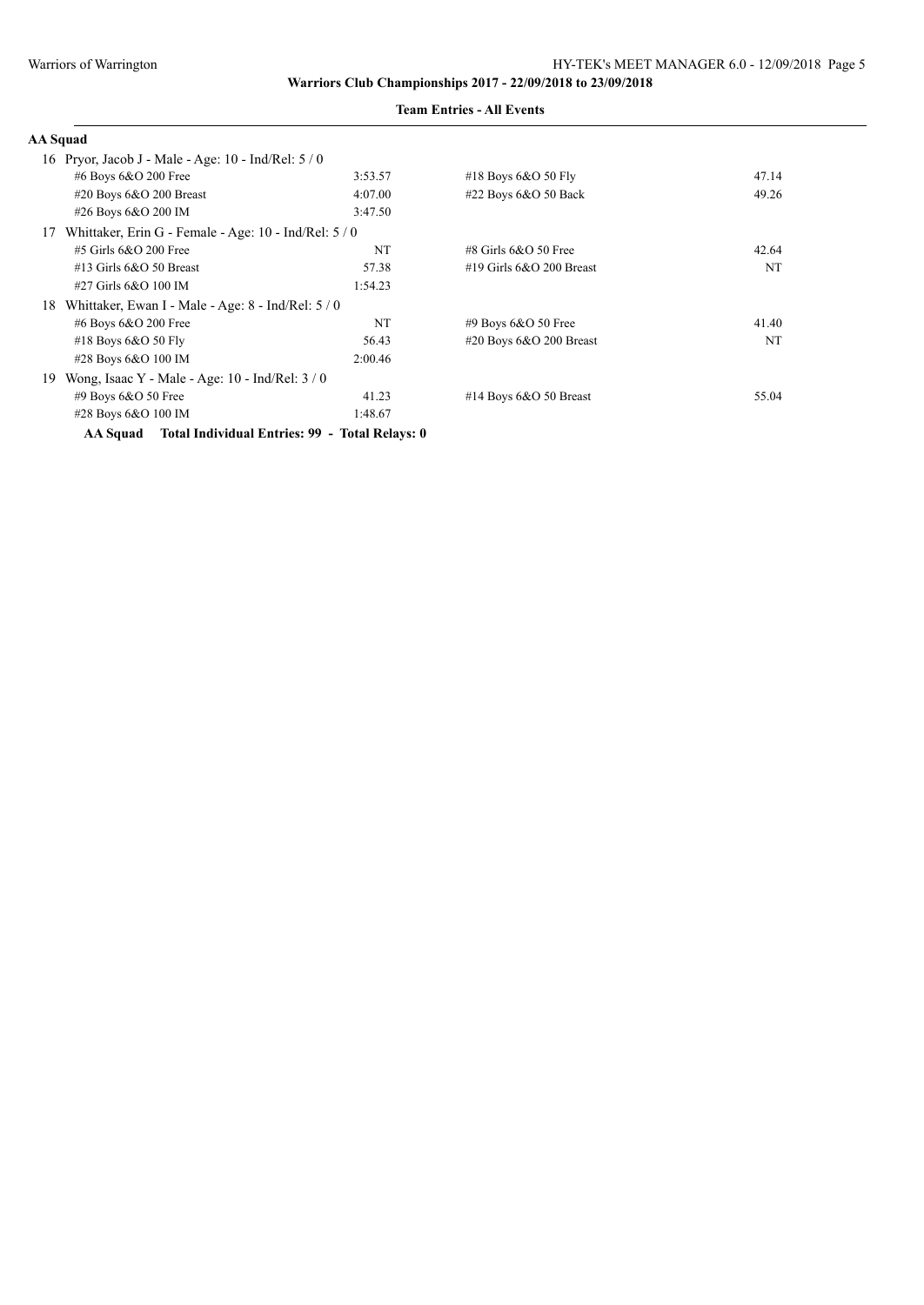| <b>AA</b> Squad                                             |         |                            |       |
|-------------------------------------------------------------|---------|----------------------------|-------|
| 16 Pryor, Jacob J - Male - Age: 10 - Ind/Rel: $5/0$         |         |                            |       |
| #6 Boys 6&O 200 Free                                        | 3:53.57 | #18 Boys $6&O$ 50 Fly      | 47.14 |
| #20 Boys 6&O 200 Breast                                     | 4:07.00 | #22 Boys 6&O 50 Back       | 49.26 |
| #26 Boys 6&O 200 IM                                         | 3:47.50 |                            |       |
| Whittaker, Erin G - Female - Age: 10 - Ind/Rel: 5 / 0<br>17 |         |                            |       |
| #5 Girls 6&O 200 Free                                       | NT      | $\#8$ Girls 6&O 50 Free    | 42.64 |
| $#13$ Girls 6&O 50 Breast                                   | 57.38   | #19 Girls $6&O$ 200 Breast | NT    |
| #27 Girls 6&O 100 IM                                        | 1:54.23 |                            |       |
| Whittaker, Ewan I - Male - Age: 8 - Ind/Rel: 5 / 0<br>18    |         |                            |       |
| #6 Boys 6&O 200 Free                                        | NT      | $#9$ Boys 6&O 50 Free      | 41.40 |
| #18 Boys $6&O$ 50 Fly                                       | 56.43   | #20 Boys $6&O$ 200 Breast  | NT    |
| #28 Boys 6&O 100 IM                                         | 2:00.46 |                            |       |
| Wong, Isaac Y - Male - Age: $10$ - Ind/Rel: $3/0$<br>19     |         |                            |       |
| $#9$ Boys 6&O 50 Free                                       | 41.23   | #14 Boys $6&O$ 50 Breast   | 55.04 |
| #28 Boys 6&O 100 IM                                         | 1:48.67 |                            |       |
| AA Squad Total Individual Entries: 99 - Total Relays: 0     |         |                            |       |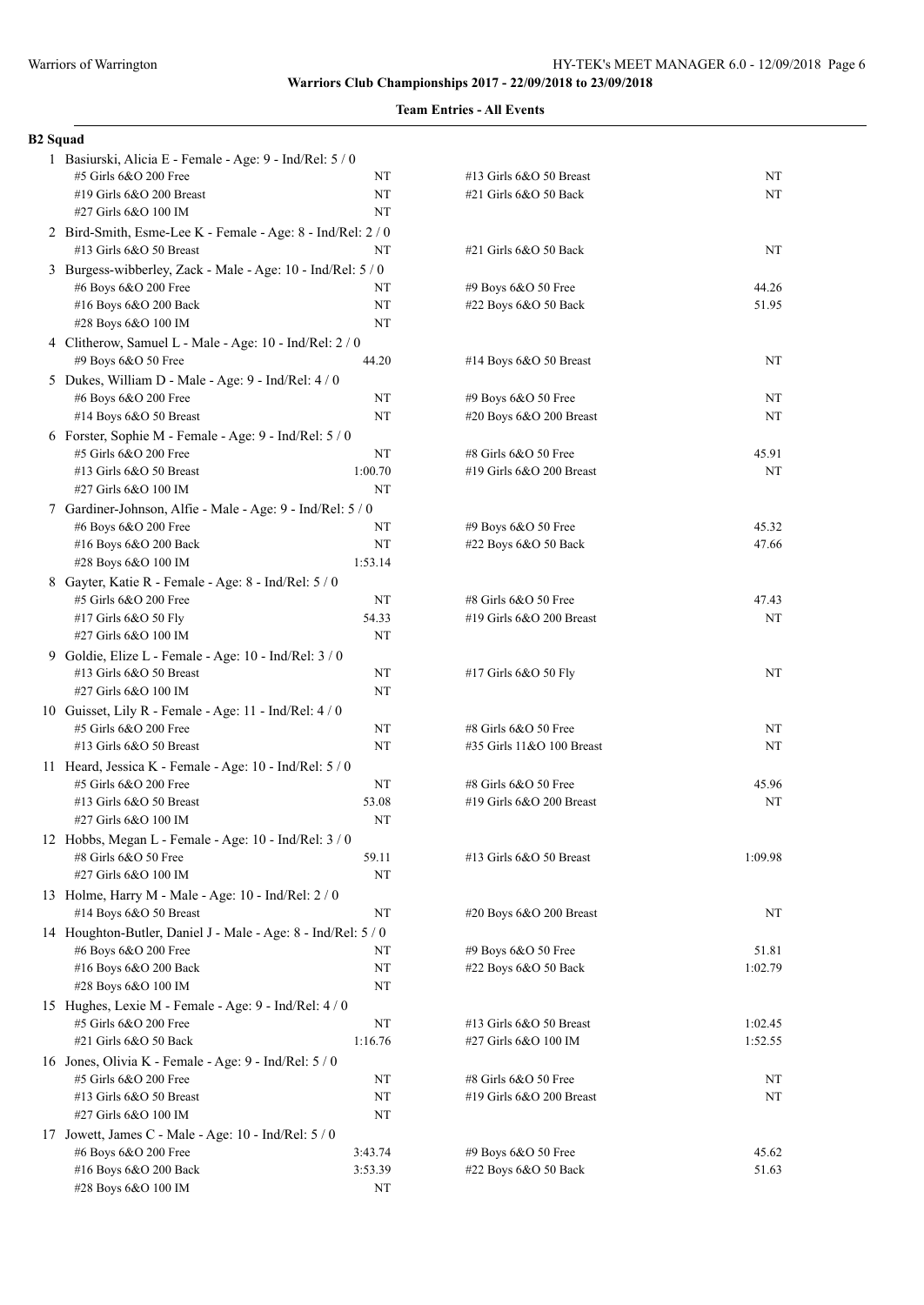# **Team Entries - All Events**

#### **B2 Squad**

| 1 Basiurski, Alicia E - Female - Age: 9 - Ind/Rel: 5 / 0      |         |                                             |         |
|---------------------------------------------------------------|---------|---------------------------------------------|---------|
| #5 Girls 6&O 200 Free                                         | NT      | #13 Girls 6&O 50 Breast                     | NT      |
| #19 Girls 6&O 200 Breast                                      | NT      | #21 Girls 6&O 50 Back                       | NT      |
| #27 Girls 6&O 100 IM                                          | NT      |                                             |         |
| 2 Bird-Smith, Esme-Lee K - Female - Age: 8 - Ind/Rel: 2 / 0   |         |                                             |         |
| #13 Girls 6&O 50 Breast                                       | NT      | #21 Girls 6&O 50 Back                       | NT      |
| 3 Burgess-wibberley, Zack - Male - Age: 10 - Ind/Rel: 5 / 0   |         |                                             |         |
| #6 Boys 6&O 200 Free                                          | NT      | #9 Boys 6&O 50 Free                         | 44.26   |
| #16 Boys 6&O 200 Back                                         | NΤ      | #22 Boys 6&O 50 Back                        | 51.95   |
| #28 Boys 6&O 100 IM                                           | NT      |                                             |         |
| 4 Clitherow, Samuel L - Male - Age: 10 - Ind/Rel: 2 / 0       |         |                                             |         |
| #9 Boys 6&O 50 Free                                           | 44.20   | #14 Boys 6&O 50 Breast                      | NT      |
| 5 Dukes, William D - Male - Age: 9 - Ind/Rel: 4 / 0           |         |                                             |         |
| #6 Boys 6&O 200 Free                                          | NΤ      | #9 Boys 6&O 50 Free                         | NT      |
| #14 Boys 6&O 50 Breast                                        | NT      | #20 Boys 6&O 200 Breast                     | NT      |
| 6 Forster, Sophie M - Female - Age: 9 - Ind/Rel: 5 / 0        |         |                                             |         |
| #5 Girls 6&O 200 Free                                         | NT      | #8 Girls 6&O 50 Free                        | 45.91   |
| #13 Girls 6&O 50 Breast                                       | 1:00.70 | #19 Girls 6&O 200 Breast                    | NT      |
| #27 Girls 6&O 100 IM                                          | NT      |                                             |         |
|                                                               |         |                                             |         |
| 7 Gardiner-Johnson, Alfie - Male - Age: 9 - Ind/Rel: 5 / 0    |         |                                             |         |
| #6 Boys 6&O 200 Free<br>#16 Boys 6&O 200 Back                 | NΤ      | #9 Boys 6&O 50 Free<br>#22 Boys 6&O 50 Back | 45.32   |
| #28 Boys 6&O 100 IM                                           | NT      |                                             | 47.66   |
|                                                               | 1:53.14 |                                             |         |
| 8 Gayter, Katie R - Female - Age: 8 - Ind/Rel: 5 / 0          |         |                                             |         |
| #5 Girls 6&O 200 Free                                         | NT      | #8 Girls 6&O 50 Free                        | 47.43   |
| #17 Girls 6&O 50 Fly                                          | 54.33   | #19 Girls 6&O 200 Breast                    | NT      |
| #27 Girls 6&O 100 IM                                          | NT      |                                             |         |
| 9 Goldie, Elize L - Female - Age: 10 - Ind/Rel: 3 / 0         |         |                                             |         |
| #13 Girls 6&O 50 Breast                                       | NT      | #17 Girls 6&O 50 Fly                        | NT      |
| #27 Girls 6&O 100 IM                                          | NT      |                                             |         |
| 10 Guisset, Lily R - Female - Age: 11 - Ind/Rel: 4/0          |         |                                             |         |
| #5 Girls 6&O 200 Free                                         | NT      | #8 Girls 6&O 50 Free                        | NT      |
| #13 Girls 6&O 50 Breast                                       | NT      | #35 Girls 11&O 100 Breast                   | NT      |
| 11 Heard, Jessica K - Female - Age: 10 - Ind/Rel: 5 / 0       |         |                                             |         |
| #5 Girls 6&O 200 Free                                         | NT      | #8 Girls 6&O 50 Free                        | 45.96   |
| #13 Girls 6&O 50 Breast                                       | 53.08   | #19 Girls 6&O 200 Breast                    | NT      |
| #27 Girls 6&O 100 IM                                          | NT      |                                             |         |
| 12 Hobbs, Megan L - Female - Age: 10 - Ind/Rel: 3/0           |         |                                             |         |
| #8 Girls 6&O 50 Free                                          | 59.11   | #13 Girls 6&O 50 Breast                     | 1:09.98 |
| #27 Girls 6&O 100 IM                                          | NT      |                                             |         |
| 13 Holme, Harry M - Male - Age: 10 - Ind/Rel: 2 / 0           |         |                                             |         |
| #14 Boys 6&O 50 Breast                                        | NT      | #20 Boys 6&O 200 Breast                     | NT      |
| 14 Houghton-Butler, Daniel J - Male - Age: 8 - Ind/Rel: 5 / 0 |         |                                             |         |
| #6 Boys 6&O 200 Free                                          | NT      | #9 Boys 6&O 50 Free                         | 51.81   |
| #16 Boys 6&O 200 Back                                         | NΤ      | #22 Boys 6&O 50 Back                        | 1:02.79 |
| #28 Boys 6&O 100 IM                                           | NT      |                                             |         |
| 15 Hughes, Lexie M - Female - Age: 9 - Ind/Rel: 4 / 0         |         |                                             |         |
| #5 Girls 6&O 200 Free                                         | NT      | #13 Girls 6&O 50 Breast                     | 1:02.45 |
| $#21$ Girls $6&O$ 50 Back                                     | 1:16.76 | #27 Girls 6&O 100 IM                        | 1:52.55 |
| 16 Jones, Olivia K - Female - Age: 9 - Ind/Rel: 5 / 0         |         |                                             |         |
| #5 Girls 6&O 200 Free                                         | NT      | #8 Girls 6&O 50 Free                        | NT      |
| #13 Girls 6&O 50 Breast                                       | NT      | #19 Girls 6&O 200 Breast                    | NT      |
| #27 Girls 6&O 100 IM                                          | NT      |                                             |         |
| 17 Jowett, James C - Male - Age: 10 - Ind/Rel: 5 / 0          |         |                                             |         |
| #6 Boys 6&O 200 Free                                          | 3:43.74 | #9 Boys 6&O 50 Free                         | 45.62   |
| #16 Boys 6&O 200 Back                                         | 3:53.39 | #22 Boys 6&O 50 Back                        | 51.63   |
| #28 Boys 6&O 100 IM                                           | NT      |                                             |         |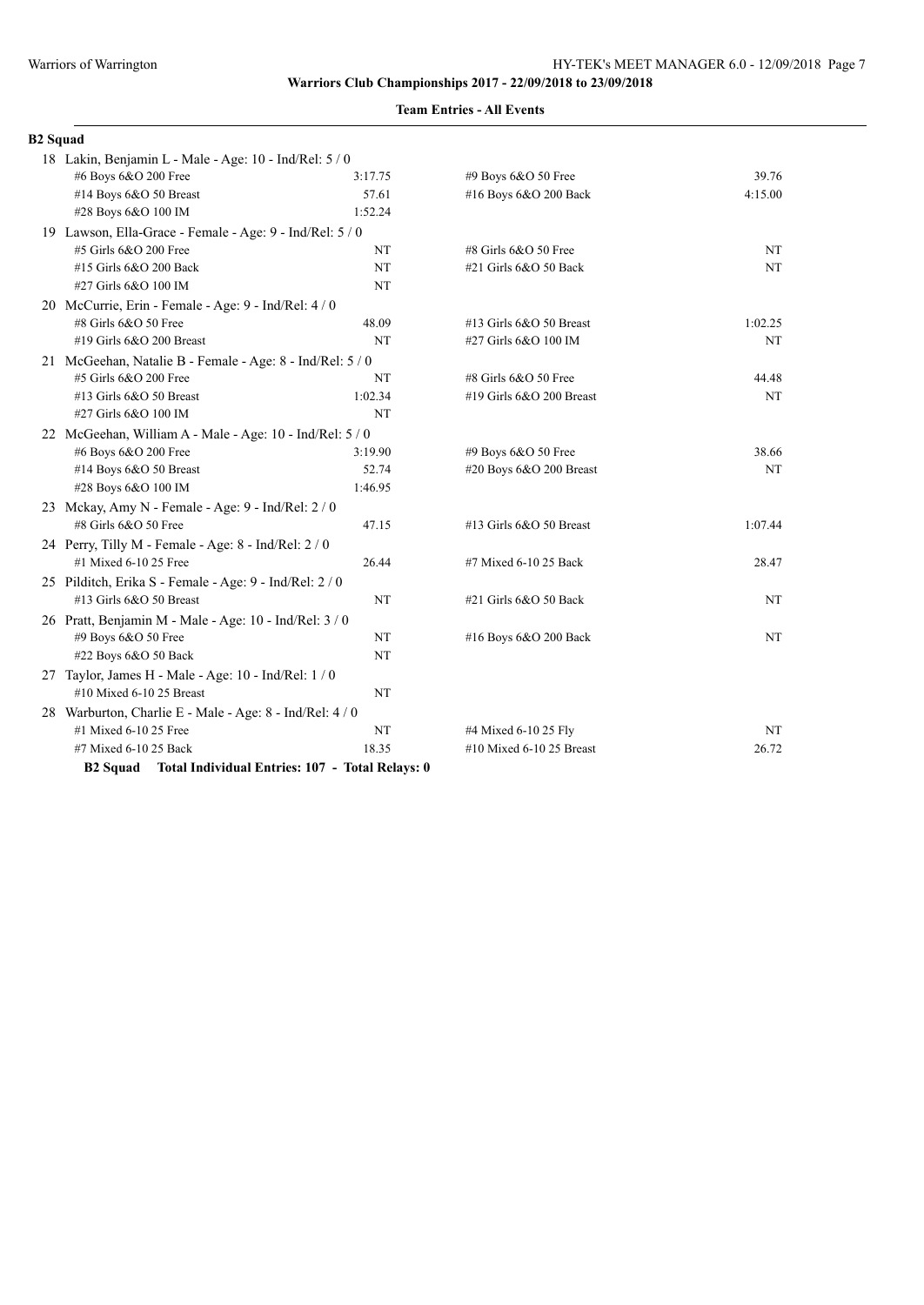# **Team Entries - All Events**

#### **B2 Squad**

| 18 Lakin, Benjamin L - Male - Age: 10 - Ind/Rel: 5 / 0             |           |                           |           |
|--------------------------------------------------------------------|-----------|---------------------------|-----------|
| #6 Boys 6&O 200 Free                                               | 3:17.75   | #9 Boys 6&O 50 Free       | 39.76     |
| #14 Boys 6&O 50 Breast                                             | 57.61     | #16 Boys 6&O 200 Back     | 4:15.00   |
| #28 Boys 6&O 100 IM                                                | 1:52.24   |                           |           |
| 19 Lawson, Ella-Grace - Female - Age: 9 - Ind/Rel: 5 / 0           |           |                           |           |
| #5 Girls 6&O 200 Free                                              | NT        | #8 Girls 6&O 50 Free      | NT        |
| #15 Girls 6&O 200 Back                                             | NT        | #21 Girls 6&O 50 Back     | NT        |
| #27 Girls 6&O 100 IM                                               | NT        |                           |           |
| 20 McCurrie, Erin - Female - Age: 9 - Ind/Rel: 4 / 0               |           |                           |           |
| #8 Girls 6&O 50 Free                                               | 48.09     | #13 Girls 6&O 50 Breast   | 1:02.25   |
| #19 Girls 6&O 200 Breast                                           | NT        | #27 Girls 6&O 100 IM      | NT        |
| 21 McGeehan, Natalie B - Female - Age: 8 - Ind/Rel: 5 / 0          |           |                           |           |
| #5 Girls 6&O 200 Free                                              | NT        | #8 Girls 6&O 50 Free      | 44.48     |
| #13 Girls 6&O 50 Breast                                            | 1:02.34   | #19 Girls 6&O 200 Breast  | <b>NT</b> |
| #27 Girls 6&O 100 IM                                               | <b>NT</b> |                           |           |
| 22 McGeehan, William A - Male - Age: 10 - Ind/Rel: 5 / 0           |           |                           |           |
| #6 Boys 6&O 200 Free                                               | 3:19.90   | #9 Boys 6&O 50 Free       | 38.66     |
| #14 Boys 6&O 50 Breast                                             | 52.74     | #20 Boys $6&O$ 200 Breast | NT        |
| #28 Boys 6&O 100 IM                                                | 1:46.95   |                           |           |
| 23 Mckay, Amy N - Female - Age: 9 - Ind/Rel: 2 / 0                 |           |                           |           |
| #8 Girls 6&O 50 Free                                               | 47.15     | #13 Girls 6&O 50 Breast   | 1:07.44   |
| 24 Perry, Tilly M - Female - Age: 8 - Ind/Rel: 2 / 0               |           |                           |           |
| #1 Mixed 6-10 25 Free                                              | 26.44     | #7 Mixed 6-10 25 Back     | 28.47     |
| 25 Pilditch, Erika S - Female - Age: 9 - Ind/Rel: 2 / 0            |           |                           |           |
| #13 Girls 6&O 50 Breast                                            | NT        | #21 Girls 6&O 50 Back     | NT        |
| 26 Pratt, Benjamin M - Male - Age: 10 - Ind/Rel: 3 / 0             |           |                           |           |
| #9 Boys 6&O 50 Free                                                | NT        | #16 Boys 6&O 200 Back     | NT        |
| #22 Boys 6&O 50 Back                                               | NT        |                           |           |
| 27 Taylor, James H - Male - Age: 10 - Ind/Rel: 1 / 0               |           |                           |           |
| #10 Mixed 6-10 25 Breast                                           | NT        |                           |           |
| 28 Warburton, Charlie E - Male - Age: 8 - Ind/Rel: 4 / 0           |           |                           |           |
| #1 Mixed 6-10 25 Free                                              | NT        | #4 Mixed 6-10 25 Fly      | NT        |
| #7 Mixed 6-10 25 Back                                              | 18.35     | #10 Mixed 6-10 25 Breast  | 26.72     |
| <b>B2 Squad</b><br>Total Individual Entries: 107 - Total Relays: 0 |           |                           |           |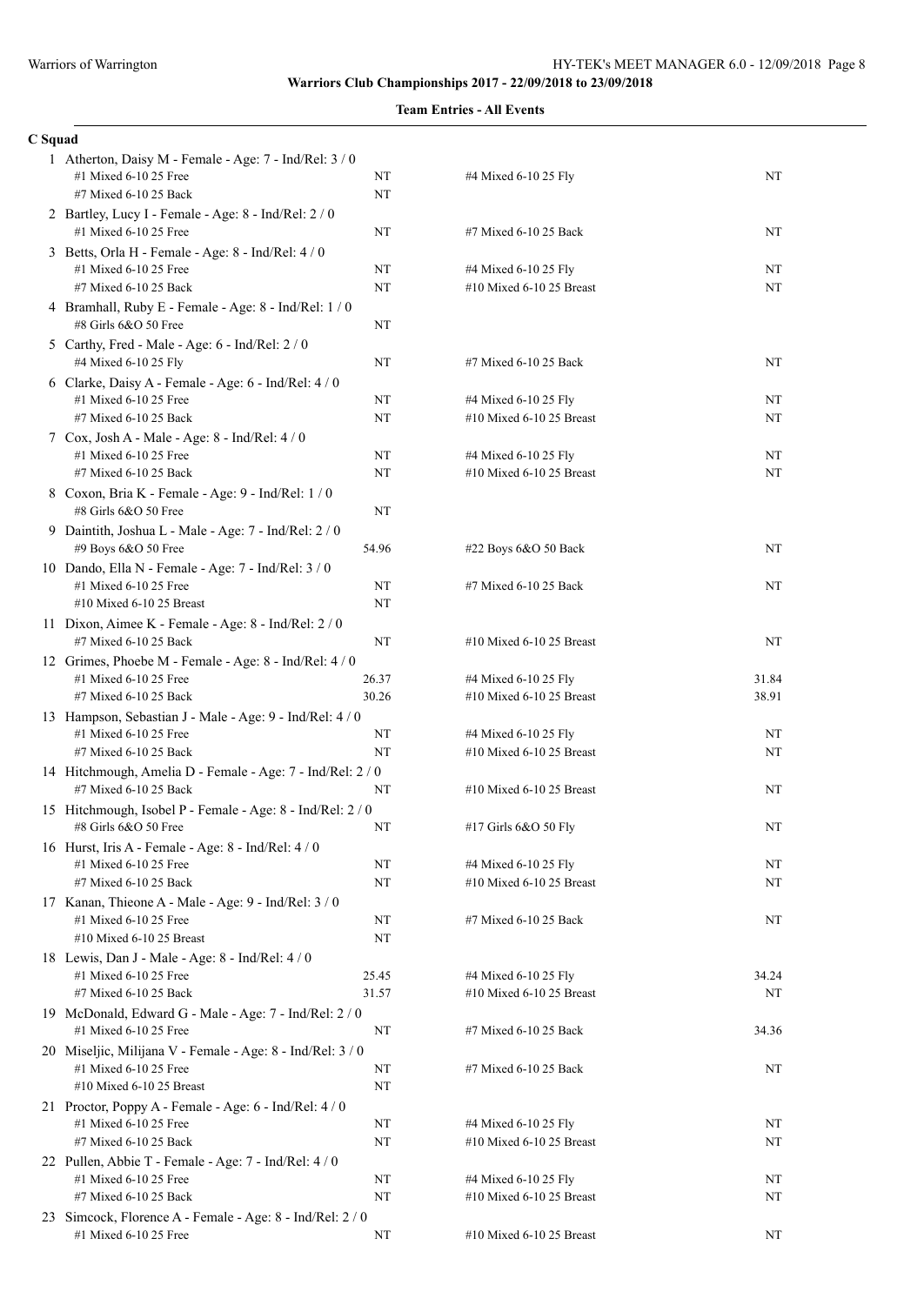| н | ы<br>II |
|---|---------|
|   |         |

| bquau |                                                                                     |          |                                                  |       |
|-------|-------------------------------------------------------------------------------------|----------|--------------------------------------------------|-------|
|       | 1 Atherton, Daisy M - Female - Age: 7 - Ind/Rel: 3 / 0<br>#1 Mixed 6-10 25 Free     | NT       | #4 Mixed 6-10 25 Fly                             | NT    |
|       | #7 Mixed 6-10 25 Back                                                               | NT       |                                                  |       |
|       | 2 Bartley, Lucy I - Female - Age: 8 - Ind/Rel: 2 / 0<br>#1 Mixed 6-10 25 Free       | NT       | #7 Mixed 6-10 25 Back                            | NT    |
|       | 3 Betts, Orla H - Female - Age: 8 - Ind/Rel: 4 / 0                                  |          |                                                  |       |
|       | #1 Mixed 6-10 25 Free                                                               | NT       | #4 Mixed 6-10 25 Fly                             | NT    |
|       | #7 Mixed 6-10 25 Back                                                               | NT       | #10 Mixed 6-10 25 Breast                         | NT    |
|       | 4 Bramhall, Ruby E - Female - Age: 8 - Ind/Rel: 1 / 0<br>#8 Girls 6&O 50 Free       | NT       |                                                  |       |
|       | 5 Carthy, Fred - Male - Age: 6 - Ind/Rel: 2 / 0                                     |          |                                                  |       |
|       | #4 Mixed 6-10 25 Fly                                                                | NT       | #7 Mixed 6-10 25 Back                            | NT    |
|       | 6 Clarke, Daisy A - Female - Age: 6 - Ind/Rel: 4 / 0                                |          |                                                  |       |
|       | #1 Mixed 6-10 25 Free                                                               | NT       | #4 Mixed 6-10 25 Fly                             | NT    |
|       | #7 Mixed 6-10 25 Back                                                               | NT       | #10 Mixed 6-10 25 Breast                         | NT    |
|       | 7 Cox, Josh A - Male - Age: 8 - Ind/Rel: 4 / 0<br>#1 Mixed 6-10 25 Free             | NT       | #4 Mixed 6-10 25 Fly                             | NT    |
|       | #7 Mixed 6-10 25 Back                                                               | NT       | #10 Mixed 6-10 25 Breast                         | NT    |
|       | 8 Coxon, Bria K - Female - Age: 9 - Ind/Rel: 1/0                                    |          |                                                  |       |
|       | #8 Girls 6&O 50 Free                                                                | NT       |                                                  |       |
|       | 9 Daintith, Joshua L - Male - Age: 7 - Ind/Rel: 2 / 0                               |          |                                                  |       |
|       | #9 Boys 6&O 50 Free                                                                 | 54.96    | #22 Boys 6&O 50 Back                             | NT    |
|       | 10 Dando, Ella N - Female - Age: 7 - Ind/Rel: 3 / 0                                 |          |                                                  |       |
|       | #1 Mixed 6-10 25 Free                                                               | NT<br>NT | #7 Mixed 6-10 25 Back                            | NT    |
|       | $#10$ Mixed 6-10 25 Breast                                                          |          |                                                  |       |
|       | 11 Dixon, Aimee K - Female - Age: 8 - Ind/Rel: 2 / 0<br>#7 Mixed 6-10 25 Back       | NT       | #10 Mixed 6-10 25 Breast                         | NT    |
|       | 12 Grimes, Phoebe M - Female - Age: 8 - Ind/Rel: 4 / 0                              |          |                                                  |       |
|       | #1 Mixed 6-10 25 Free                                                               | 26.37    | #4 Mixed 6-10 25 Fly                             | 31.84 |
|       | #7 Mixed 6-10 25 Back                                                               | 30.26    | #10 Mixed 6-10 25 Breast                         | 38.91 |
|       | 13 Hampson, Sebastian J - Male - Age: 9 - Ind/Rel: 4 / 0                            |          |                                                  |       |
|       | #1 Mixed 6-10 25 Free                                                               | NT       | #4 Mixed 6-10 25 Fly                             | NT    |
|       | #7 Mixed 6-10 25 Back                                                               | NT       | #10 Mixed 6-10 25 Breast                         | NT    |
|       | 14 Hitchmough, Amelia D - Female - Age: 7 - Ind/Rel: 2 / 0<br>#7 Mixed 6-10 25 Back | NT       | #10 Mixed 6-10 25 Breast                         | NT    |
|       | 15 Hitchmough, Isobel P - Female - Age: 8 - Ind/Rel: 2 / 0                          |          |                                                  |       |
|       | #8 Girls 6&O 50 Free                                                                | NT       | #17 Girls 6&O 50 Fly                             | NT    |
|       | 16 Hurst, Iris A - Female - Age: 8 - Ind/Rel: 4 / 0                                 |          |                                                  |       |
|       | #1 Mixed 6-10 25 Free                                                               | NT       | #4 Mixed 6-10 25 Fly                             | NT    |
|       | #7 Mixed 6-10 25 Back                                                               | NT       | #10 Mixed 6-10 25 Breast                         | NΤ    |
|       | 17 Kanan, Thieone A - Male - Age: 9 - Ind/Rel: 3 / 0                                |          |                                                  |       |
|       | #1 Mixed 6-10 25 Free                                                               | NT       | #7 Mixed 6-10 25 Back                            | NT    |
|       | #10 Mixed 6-10 25 Breast                                                            | NT       |                                                  |       |
|       | 18 Lewis, Dan J - Male - Age: 8 - Ind/Rel: 4 / 0                                    |          |                                                  |       |
|       | #1 Mixed 6-10 25 Free                                                               | 25.45    | #4 Mixed 6-10 25 Fly                             | 34.24 |
|       | #7 Mixed 6-10 25 Back                                                               | 31.57    | #10 Mixed 6-10 25 Breast                         | NT    |
|       | 19 McDonald, Edward G - Male - Age: 7 - Ind/Rel: 2 / 0                              |          |                                                  |       |
|       | #1 Mixed 6-10 25 Free                                                               | NT       | #7 Mixed 6-10 25 Back                            | 34.36 |
|       | 20 Miseljic, Milijana V - Female - Age: 8 - Ind/Rel: 3 / 0                          |          |                                                  |       |
|       | #1 Mixed 6-10 25 Free                                                               | NT       | #7 Mixed 6-10 25 Back                            | NT    |
|       | #10 Mixed 6-10 25 Breast                                                            | NT       |                                                  |       |
|       | 21 Proctor, Poppy A - Female - Age: 6 - Ind/Rel: 4 / 0                              |          |                                                  |       |
|       | #1 Mixed 6-10 25 Free<br>#7 Mixed 6-10 25 Back                                      | NT<br>NT | #4 Mixed 6-10 25 Fly<br>#10 Mixed 6-10 25 Breast | NT    |
|       |                                                                                     |          |                                                  | NT    |
|       | 22 Pullen, Abbie T - Female - Age: 7 - Ind/Rel: 4 / 0<br>#1 Mixed 6-10 25 Free      | NT       | #4 Mixed 6-10 25 Fly                             | NT    |
|       | #7 Mixed 6-10 25 Back                                                               | NT       | #10 Mixed 6-10 25 Breast                         | NT    |
|       | 23 Simcock, Florence A - Female - Age: 8 - Ind/Rel: 2 / 0                           |          |                                                  |       |
|       | #1 Mixed 6-10 25 Free                                                               | NT       | #10 Mixed 6-10 25 Breast                         | NT    |
|       |                                                                                     |          |                                                  |       |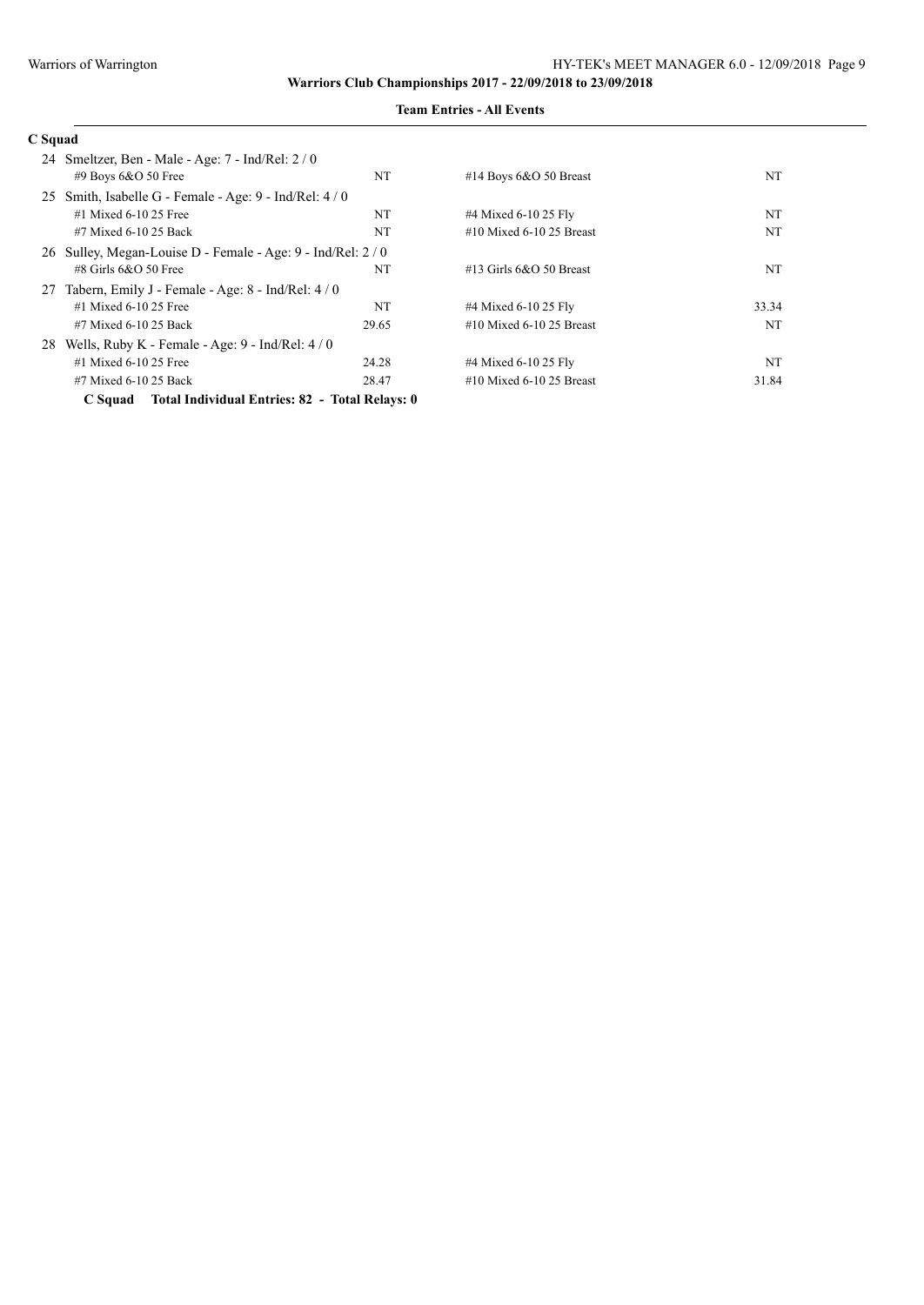| C Squad                                                      |           |                             |       |
|--------------------------------------------------------------|-----------|-----------------------------|-------|
| Smeltzer, Ben - Male - Age: 7 - Ind/Rel: 2 / 0<br>24         |           |                             |       |
| $#9$ Boys 6&O 50 Free                                        | NT        | #14 Boys $6&O$ 50 Breast    | NT    |
| Smith, Isabelle G - Female - Age: $9$ - Ind/Rel: $4/0$<br>25 |           |                             |       |
| $#1$ Mixed 6-10 25 Free                                      | NT        | #4 Mixed 6-10 25 Fly        | NT    |
| #7 Mixed 6-10 25 Back                                        | <b>NT</b> | $#10$ Mixed 6-10 25 Breast  | NT    |
| 26 Sulley, Megan-Louise D - Female - Age: 9 - Ind/Rel: 2/0   |           |                             |       |
| $\#8$ Girls 6&O 50 Free                                      | NT        | #13 Girls $6&O$ 50 Breast   | NT    |
| Tabern, Emily J - Female - Age: 8 - Ind/Rel: 4/0<br>27       |           |                             |       |
| $#1$ Mixed 6-10 25 Free                                      | NT        | #4 Mixed 6-10 25 Fly        | 33.34 |
| #7 Mixed 6-10 25 Back                                        | 29.65     | $\#10$ Mixed 6-10 25 Breast | NT    |
| Wells, Ruby K - Female - Age: $9$ - Ind/Rel: $4/0$<br>28     |           |                             |       |
| $#1$ Mixed 6-10 25 Free                                      | 24.28     | #4 Mixed 6-10 25 Fly        | NT    |
| #7 Mixed 6-10 25 Back                                        | 28.47     | $#10$ Mixed 6-10 25 Breast  | 31.84 |
| C Squad Total Individual Entries: 82 - Total Relays: 0       |           |                             |       |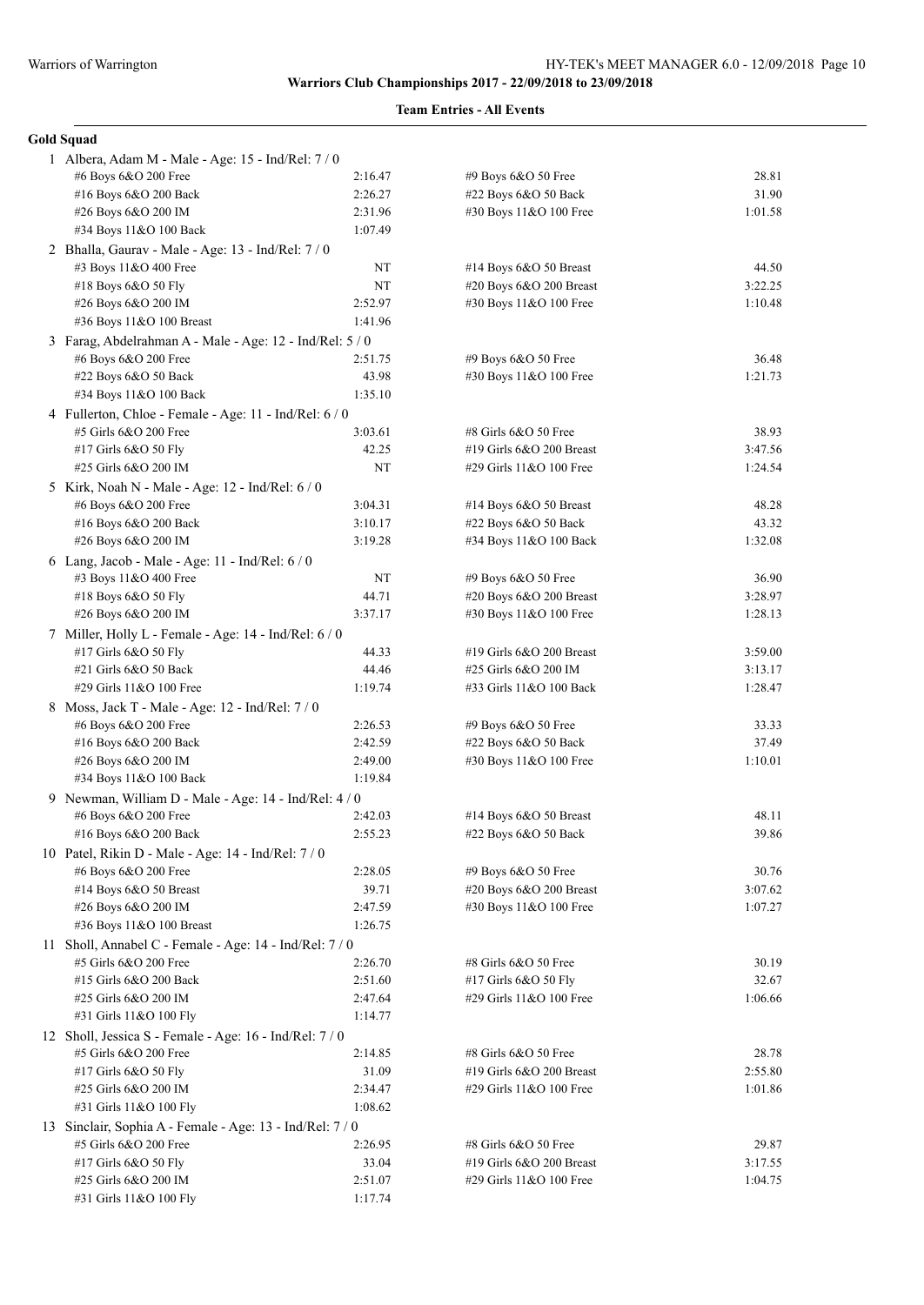| <b>Gold Squad</b>                                        |             |                                                |                  |  |
|----------------------------------------------------------|-------------|------------------------------------------------|------------------|--|
| 1 Albera, Adam M - Male - Age: 15 - Ind/Rel: 7/0         |             |                                                |                  |  |
| #6 Boys 6&O 200 Free                                     | 2:16.47     | #9 Boys 6&O 50 Free                            | 28.81            |  |
| #16 Boys 6&O 200 Back                                    | 2:26.27     | #22 Boys 6&O 50 Back                           | 31.90            |  |
| #26 Boys 6&O 200 IM                                      | 2:31.96     | #30 Boys 11&O 100 Free                         | 1:01.58          |  |
| #34 Boys 11&O 100 Back                                   | 1:07.49     |                                                |                  |  |
| 2 Bhalla, Gaurav - Male - Age: 13 - Ind/Rel: 7/0         |             |                                                |                  |  |
| #3 Boys 11&O 400 Free                                    | NT          | #14 Boys 6&O 50 Breast                         | 44.50            |  |
| #18 Boys 6&O 50 Fly                                      | NT          | #20 Boys 6&O 200 Breast                        | 3:22.25          |  |
| #26 Boys 6&O 200 IM                                      | 2:52.97     | #30 Boys 11&O 100 Free                         | 1:10.48          |  |
| #36 Boys 11&O 100 Breast                                 | 1:41.96     |                                                |                  |  |
| 3 Farag, Abdelrahman A - Male - Age: 12 - Ind/Rel: 5 / 0 |             |                                                |                  |  |
| #6 Boys 6&O 200 Free                                     | 2:51.75     | #9 Boys 6&O 50 Free                            | 36.48            |  |
| #22 Boys 6&O 50 Back                                     | 43.98       | #30 Boys 11&O 100 Free                         | 1:21.73          |  |
| #34 Boys 11&O 100 Back                                   | 1:35.10     |                                                |                  |  |
| 4 Fullerton, Chloe - Female - Age: 11 - Ind/Rel: 6 / 0   |             |                                                |                  |  |
| #5 Girls 6&O 200 Free                                    | 3:03.61     | #8 Girls 6&O 50 Free                           | 38.93            |  |
| #17 Girls 6&O 50 Fly                                     | 42.25       | #19 Girls 6&O 200 Breast                       | 3:47.56          |  |
| #25 Girls 6&O 200 IM                                     | NT          | #29 Girls 11&O 100 Free                        | 1:24.54          |  |
| 5 Kirk, Noah N - Male - Age: 12 - Ind/Rel: 6 / 0         |             |                                                |                  |  |
| #6 Boys 6&O 200 Free                                     | 3:04.31     | #14 Boys $6&O$ 50 Breast                       | 48.28            |  |
| #16 Boys 6&O 200 Back                                    | 3:10.17     | $#22$ Boys 6&O 50 Back                         | 43.32            |  |
| #26 Boys 6&O 200 IM                                      | 3:19.28     | #34 Boys 11&O 100 Back                         | 1:32.08          |  |
|                                                          |             |                                                |                  |  |
| 6 Lang, Jacob - Male - Age: 11 - Ind/Rel: 6 / 0          |             |                                                |                  |  |
| #3 Boys 11&O 400 Free                                    | NT<br>44.71 | #9 Boys 6&O 50 Free<br>#20 Boys 6&O 200 Breast | 36.90<br>3:28.97 |  |
| #18 Boys $6&O 50$ Fly                                    |             |                                                |                  |  |
| #26 Boys 6&O 200 IM                                      | 3:37.17     | #30 Boys 11&O 100 Free                         | 1:28.13          |  |
| 7 Miller, Holly L - Female - Age: 14 - Ind/Rel: 6 / 0    |             |                                                |                  |  |
| #17 Girls 6&O 50 Fly                                     | 44.33       | #19 Girls $6&O$ 200 Breast                     | 3:59.00          |  |
| #21 Girls 6&O 50 Back                                    | 44.46       | #25 Girls 6&O 200 IM                           | 3:13.17          |  |
| #29 Girls 11&O 100 Free                                  | 1:19.74     | #33 Girls 11&O 100 Back                        | 1:28.47          |  |
| 8 Moss, Jack T - Male - Age: 12 - Ind/Rel: 7/0           |             |                                                |                  |  |
| #6 Boys 6&O 200 Free                                     | 2:26.53     | $#9$ Boys $6&O$ 50 Free                        | 33.33            |  |
| #16 Boys 6&O 200 Back                                    | 2:42.59     | #22 Boys 6&O 50 Back                           | 37.49            |  |
| #26 Boys 6&O 200 IM                                      | 2:49.00     | #30 Boys 11&O 100 Free                         | 1:10.01          |  |
| #34 Boys 11&O 100 Back                                   | 1:19.84     |                                                |                  |  |
| 9 Newman, William D - Male - Age: 14 - Ind/Rel: 4 / 0    |             |                                                |                  |  |
| #6 Boys 6&O 200 Free                                     | 2:42.03     | #14 Boys 6&O 50 Breast                         | 48.11            |  |
| #16 Boys 6&O 200 Back                                    | 2:55.23     | $#22$ Boys $6&O$ 50 Back                       | 39.86            |  |
| 10 Patel, Rikin D - Male - Age: 14 - Ind/Rel: 7 / 0      |             |                                                |                  |  |
| #6 Boys 6&O 200 Free                                     | 2:28.05     | #9 Boys 6&O 50 Free                            | 30.76            |  |
| #14 Boys 6&O 50 Breast                                   | 39.71       | #20 Boys 6&O 200 Breast                        | 3:07.62          |  |
| #26 Boys 6&O 200 IM                                      | 2:47.59     | #30 Boys 11&O 100 Free                         | 1:07.27          |  |
| #36 Boys 11&O 100 Breast                                 | 1:26.75     |                                                |                  |  |
| 11 Sholl, Annabel C - Female - Age: 14 - Ind/Rel: 7 / 0  |             |                                                |                  |  |
| #5 Girls 6&O 200 Free                                    | 2:26.70     | #8 Girls 6&O 50 Free                           | 30.19            |  |
| #15 Girls 6&O 200 Back                                   | 2:51.60     | #17 Girls 6&O 50 Fly                           | 32.67            |  |
| #25 Girls 6&O 200 IM                                     | 2:47.64     | #29 Girls 11&O 100 Free                        | 1:06.66          |  |
| #31 Girls 11&O 100 Fly                                   | 1:14.77     |                                                |                  |  |
| 12 Sholl, Jessica S - Female - Age: 16 - Ind/Rel: 7 / 0  |             |                                                |                  |  |
| #5 Girls 6&O 200 Free                                    | 2:14.85     | #8 Girls 6&O 50 Free                           | 28.78            |  |
| #17 Girls 6&O 50 Fly                                     | 31.09       | #19 Girls 6&O 200 Breast                       | 2:55.80          |  |
| #25 Girls 6&O 200 IM                                     | 2:34.47     | #29 Girls 11&O 100 Free                        | 1:01.86          |  |
| #31 Girls 11&O 100 Fly                                   | 1:08.62     |                                                |                  |  |
| 13 Sinclair, Sophia A - Female - Age: 13 - Ind/Rel: 7/0  |             |                                                |                  |  |
| #5 Girls 6&O 200 Free                                    | 2:26.95     | #8 Girls 6&O 50 Free                           | 29.87            |  |
| #17 Girls 6&O 50 Fly                                     | 33.04       | #19 Girls 6&O 200 Breast                       | 3:17.55          |  |
| #25 Girls 6&O 200 IM                                     | 2:51.07     | #29 Girls 11&O 100 Free                        | 1:04.75          |  |
| #31 Girls 11&O 100 Fly                                   | 1:17.74     |                                                |                  |  |
|                                                          |             |                                                |                  |  |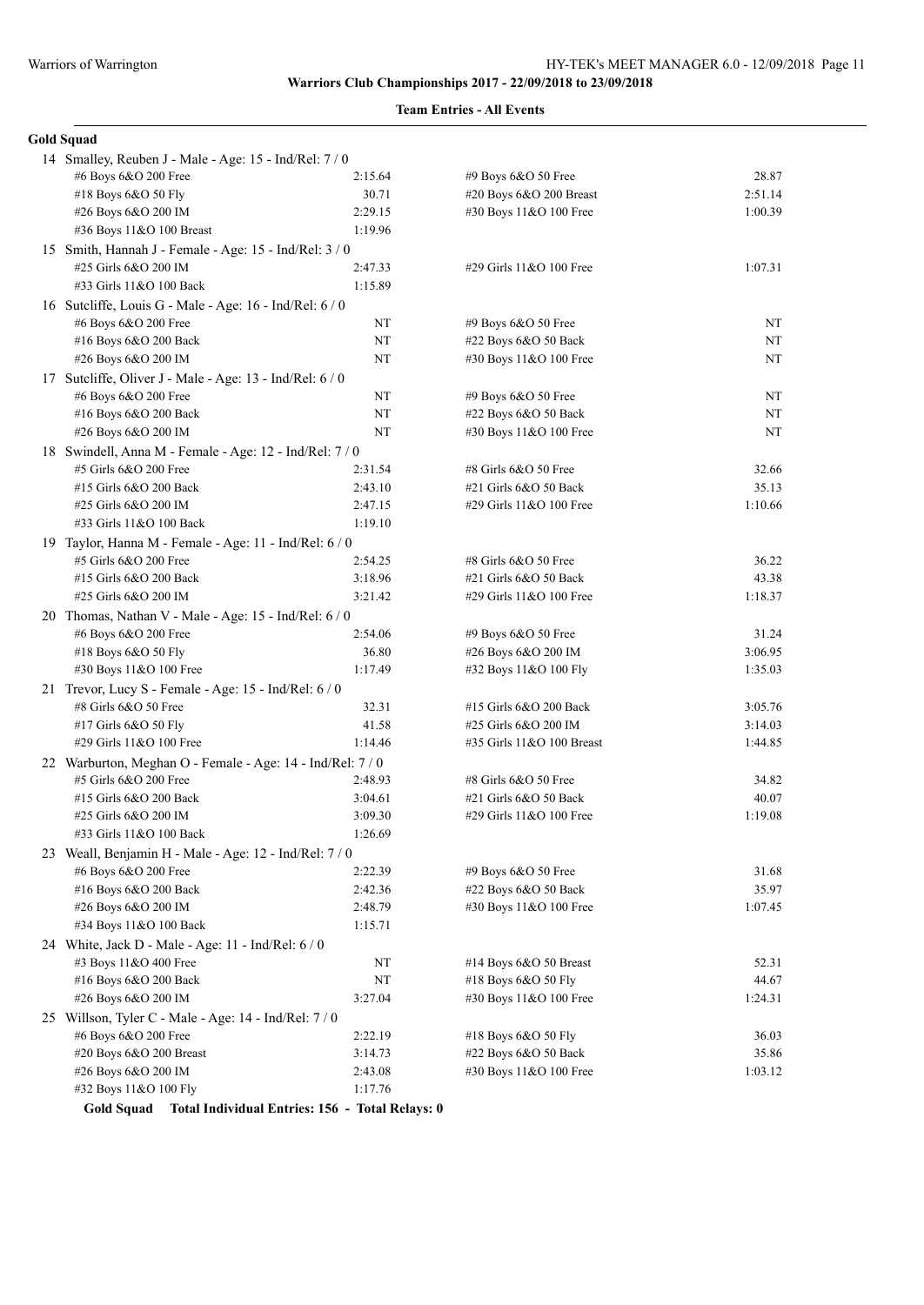## **Team Entries - All Events**

|  | Gold Squad |
|--|------------|
|--|------------|

|  | 14 Smalley, Reuben J - Male - Age: 15 - Ind/Rel: 7 / 0                              |                |                                                |                    |
|--|-------------------------------------------------------------------------------------|----------------|------------------------------------------------|--------------------|
|  | #6 Boys 6&O 200 Free                                                                | 2:15.64        | #9 Boys 6&O 50 Free                            | 28.87              |
|  | #18 Boys 6&O 50 Fly                                                                 | 30.71          | #20 Boys 6&O 200 Breast                        | 2:51.14            |
|  | #26 Boys 6&O 200 IM                                                                 | 2:29.15        | #30 Boys 11&O 100 Free                         | 1:00.39            |
|  | #36 Boys 11&O 100 Breast                                                            | 1:19.96        |                                                |                    |
|  | 15 Smith, Hannah J - Female - Age: 15 - Ind/Rel: 3 / 0                              |                |                                                |                    |
|  | #25 Girls 6&O 200 IM                                                                | 2:47.33        | #29 Girls 11&O 100 Free                        | 1:07.31            |
|  | #33 Girls 11&O 100 Back                                                             | 1:15.89        |                                                |                    |
|  | 16 Sutcliffe, Louis G - Male - Age: 16 - Ind/Rel: 6 / 0                             |                |                                                |                    |
|  | #6 Boys 6&O 200 Free                                                                | NT             | #9 Boys 6&O 50 Free                            | NT                 |
|  | #16 Boys 6&O 200 Back                                                               | NT             | #22 Boys 6&O 50 Back                           | NT                 |
|  | #26 Boys 6&O 200 IM                                                                 | NT             | #30 Boys 11&O 100 Free                         | NT                 |
|  | 17 Sutcliffe, Oliver J - Male - Age: 13 - Ind/Rel: 6 / 0                            |                |                                                |                    |
|  | #6 Boys 6&O 200 Free                                                                | NT             | #9 Boys 6&O 50 Free                            | NT                 |
|  | #16 Boys 6&O 200 Back                                                               | NT             | #22 Boys 6&O 50 Back                           | NT                 |
|  | #26 Boys 6&O 200 IM                                                                 | NT             | #30 Boys 11&O 100 Free                         | NT                 |
|  | 18 Swindell, Anna M - Female - Age: 12 - Ind/Rel: 7 / 0                             |                |                                                |                    |
|  | #5 Girls 6&O 200 Free                                                               | 2:31.54        | #8 Girls 6&O 50 Free                           | 32.66              |
|  | #15 Girls 6&O 200 Back                                                              | 2:43.10        | #21 Girls 6&O 50 Back                          | 35.13              |
|  | #25 Girls 6&O 200 IM                                                                | 2:47.15        | #29 Girls 11&O 100 Free                        | 1:10.66            |
|  | #33 Girls 11&O 100 Back                                                             | 1:19.10        |                                                |                    |
|  | 19 Taylor, Hanna M - Female - Age: 11 - Ind/Rel: 6 / 0                              |                |                                                |                    |
|  | #5 Girls 6&O 200 Free                                                               | 2:54.25        | #8 Girls 6&O 50 Free                           | 36.22              |
|  | #15 Girls 6&O 200 Back                                                              | 3:18.96        | #21 Girls 6&O 50 Back                          | 43.38              |
|  | #25 Girls 6&O 200 IM                                                                | 3:21.42        | #29 Girls 11&O 100 Free                        | 1:18.37            |
|  | 20 Thomas, Nathan V - Male - Age: 15 - Ind/Rel: 6 / 0                               |                |                                                |                    |
|  | #6 Boys 6&O 200 Free                                                                | 2:54.06        | #9 Boys 6&O 50 Free                            | 31.24              |
|  | #18 Boys 6&O 50 Fly                                                                 | 36.80          | #26 Boys 6&O 200 IM                            | 3:06.95            |
|  | #30 Boys 11&O 100 Free                                                              | 1:17.49        | #32 Boys 11&O 100 Fly                          | 1:35.03            |
|  | 21 Trevor, Lucy S - Female - Age: 15 - Ind/Rel: 6 / 0                               |                |                                                |                    |
|  | #8 Girls 6&O 50 Free<br>#17 Girls 6&O 50 Fly                                        | 32.31<br>41.58 | #15 Girls 6&O 200 Back<br>#25 Girls 6&O 200 IM | 3:05.76<br>3:14.03 |
|  | #29 Girls 11&O 100 Free                                                             | 1:14.46        | #35 Girls 11&O 100 Breast                      | 1:44.85            |
|  |                                                                                     |                |                                                |                    |
|  | 22 Warburton, Meghan O - Female - Age: 14 - Ind/Rel: 7 / 0<br>#5 Girls 6&O 200 Free | 2:48.93        | #8 Girls 6&O 50 Free                           | 34.82              |
|  | #15 Girls 6&O 200 Back                                                              | 3:04.61        | #21 Girls 6&O 50 Back                          | 40.07              |
|  | #25 Girls 6&O 200 IM                                                                | 3:09.30        | #29 Girls 11&O 100 Free                        | 1:19.08            |
|  | #33 Girls 11&O 100 Back                                                             | 1:26.69        |                                                |                    |
|  | 23 Weall, Benjamin H - Male - Age: 12 - Ind/Rel: 7/0                                |                |                                                |                    |
|  | #6 Boys 6&O 200 Free                                                                | 2:22.39        | #9 Boys 6&O 50 Free                            | 31.68              |
|  | #16 Boys 6&O 200 Back                                                               | 2:42.36        | #22 Boys 6&O 50 Back                           | 35.97              |
|  | #26 Boys 6&O 200 IM                                                                 | 2:48.79        | #30 Boys 11&O 100 Free                         | 1:07.45            |
|  | #34 Boys 11&O 100 Back                                                              | 1:15.71        |                                                |                    |
|  | 24 White, Jack D - Male - Age: 11 - Ind/Rel: $6/0$                                  |                |                                                |                    |
|  | #3 Boys 11&O 400 Free                                                               | NT             | #14 Boys 6&O 50 Breast                         | 52.31              |
|  | #16 Boys 6&O 200 Back                                                               | NT             | #18 Boys 6&O 50 Fly                            | 44.67              |
|  | #26 Boys 6&O 200 IM                                                                 | 3:27.04        | #30 Boys 11&O 100 Free                         | 1:24.31            |
|  | 25 Willson, Tyler C - Male - Age: 14 - Ind/Rel: 7/0                                 |                |                                                |                    |
|  | #6 Boys 6&O 200 Free                                                                | 2:22.19        | #18 Boys 6&O 50 Fly                            | 36.03              |
|  | #20 Boys 6&O 200 Breast                                                             | 3:14.73        | #22 Boys 6&O 50 Back                           | 35.86              |
|  | #26 Boys 6&O 200 IM                                                                 | 2:43.08        | #30 Boys 11&O 100 Free                         | 1:03.12            |
|  | #32 Boys 11&O 100 Fly                                                               | 1:17.76        |                                                |                    |

**Gold Squad Total Individual Entries: 156 - Total Relays: 0**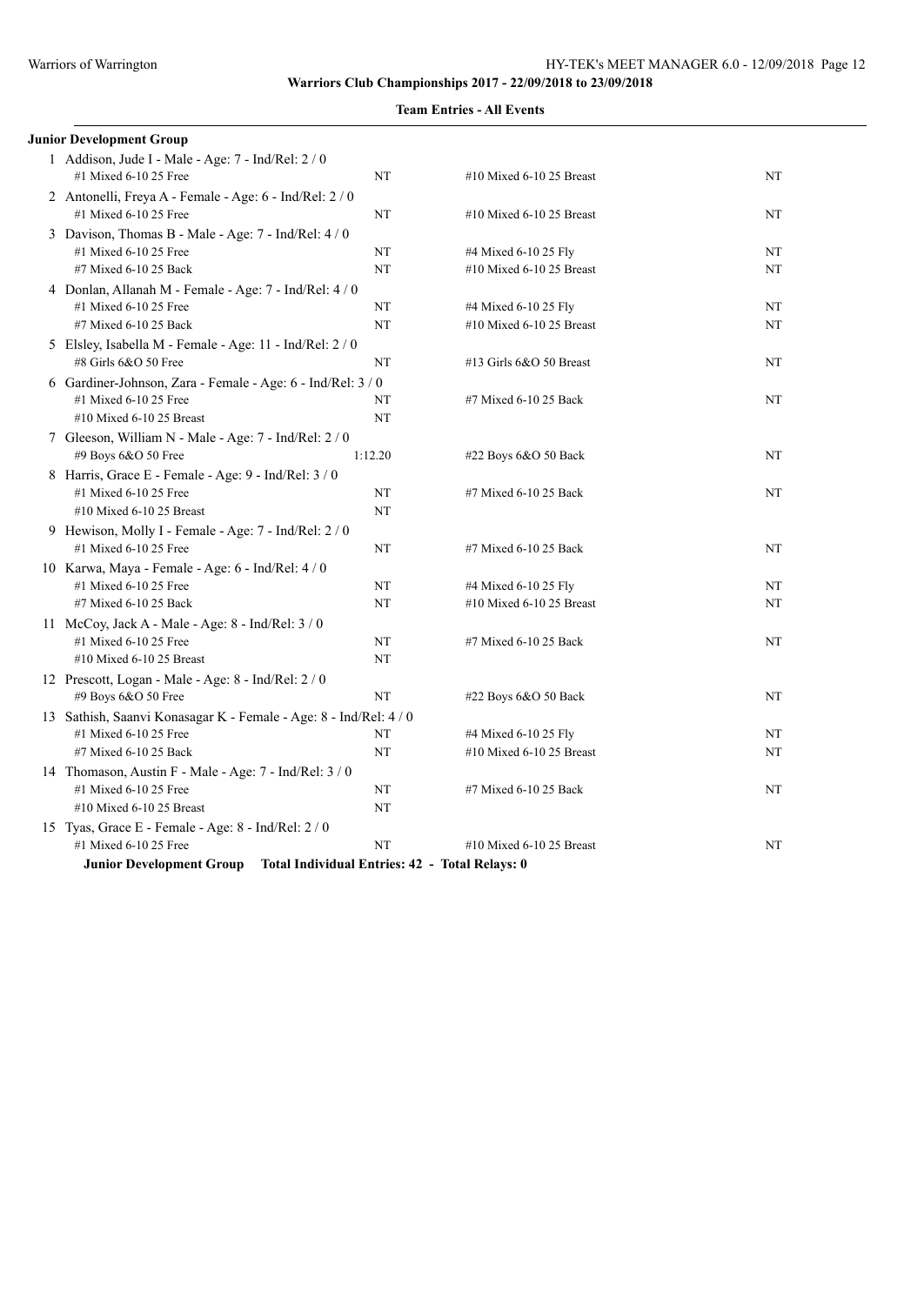| <b>Junior Development Group</b>                                                  |                                                        |                                                |    |  |  |
|----------------------------------------------------------------------------------|--------------------------------------------------------|------------------------------------------------|----|--|--|
| 1 Addison, Jude I - Male - Age: 7 - Ind/Rel: 2 / 0<br>#1 Mixed 6-10 25 Free      | NT                                                     | #10 Mixed 6-10 25 Breast                       | NT |  |  |
| 2 Antonelli, Freya A - Female - Age: 6 - Ind/Rel: 2 / 0<br>#1 Mixed 6-10 25 Free | NT                                                     | #10 Mixed 6-10 25 Breast                       | NT |  |  |
| 3 Davison, Thomas B - Male - Age: 7 - Ind/Rel: 4 / 0                             |                                                        |                                                |    |  |  |
| #1 Mixed 6-10 25 Free                                                            | NT                                                     | #4 Mixed 6-10 25 Fly                           | NT |  |  |
| #7 Mixed 6-10 25 Back                                                            | NT                                                     | #10 Mixed 6-10 25 Breast                       | NT |  |  |
|                                                                                  | 4 Donlan, Allanah M - Female - Age: 7 - Ind/Rel: 4 / 0 |                                                |    |  |  |
| #1 Mixed 6-10 25 Free                                                            | NT                                                     | #4 Mixed 6-10 25 Fly                           | NT |  |  |
| #7 Mixed 6-10 25 Back                                                            | NT                                                     | #10 Mixed 6-10 25 Breast                       | NT |  |  |
| 5 Elsley, Isabella M - Female - Age: 11 - Ind/Rel: 2 / 0                         |                                                        |                                                |    |  |  |
| #8 Girls 6&O 50 Free                                                             | NT                                                     | #13 Girls 6&O 50 Breast                        | NT |  |  |
| 6 Gardiner-Johnson, Zara - Female - Age: 6 - Ind/Rel: 3 / 0                      |                                                        |                                                |    |  |  |
| #1 Mixed 6-10 25 Free                                                            | NT                                                     | #7 Mixed 6-10 25 Back                          | NT |  |  |
| #10 Mixed 6-10 25 Breast                                                         | NT                                                     |                                                |    |  |  |
| 7 Gleeson, William N - Male - Age: 7 - Ind/Rel: 2 / 0                            |                                                        |                                                |    |  |  |
| #9 Boys 6&O 50 Free<br>1:12.20<br>#22 Boys 6&O 50 Back<br>NT                     |                                                        |                                                |    |  |  |
| 8 Harris, Grace E - Female - Age: 9 - Ind/Rel: 3 / 0                             |                                                        |                                                |    |  |  |
| #1 Mixed 6-10 25 Free                                                            | NT                                                     | #7 Mixed 6-10 25 Back                          | NT |  |  |
| #10 Mixed 6-10 25 Breast                                                         | NT                                                     |                                                |    |  |  |
| 9 Hewison, Molly I - Female - Age: 7 - Ind/Rel: 2 / 0                            |                                                        |                                                |    |  |  |
| #1 Mixed 6-10 25 Free                                                            | NT                                                     | #7 Mixed 6-10 25 Back                          | NT |  |  |
| 10 Karwa, Maya - Female - Age: 6 - Ind/Rel: 4 / 0                                |                                                        |                                                |    |  |  |
| #1 Mixed 6-10 25 Free                                                            | NT                                                     | #4 Mixed 6-10 25 Fly                           | NT |  |  |
| #7 Mixed 6-10 25 Back                                                            | NT                                                     | #10 Mixed 6-10 25 Breast                       | NT |  |  |
| 11 McCoy, Jack A - Male - Age: 8 - Ind/Rel: 3 / 0                                |                                                        |                                                |    |  |  |
| #1 Mixed 6-10 25 Free                                                            | NT                                                     | #7 Mixed 6-10 25 Back                          | NT |  |  |
| #10 Mixed 6-10 25 Breast                                                         | NT                                                     |                                                |    |  |  |
| 12 Prescott, Logan - Male - Age: 8 - Ind/Rel: 2 / 0                              |                                                        |                                                |    |  |  |
| #9 Boys 6&O 50 Free                                                              | NT                                                     | #22 Boys 6&O 50 Back                           | NT |  |  |
| 13 Sathish, Saanvi Konasagar K - Female - Age: 8 - Ind/Rel: 4 / 0                |                                                        |                                                |    |  |  |
| #1 Mixed 6-10 25 Free                                                            | NT                                                     | #4 Mixed 6-10 25 Fly                           | NT |  |  |
| #7 Mixed 6-10 25 Back                                                            | NT                                                     | #10 Mixed 6-10 25 Breast                       | NT |  |  |
| 14 Thomason, Austin F - Male - Age: 7 - Ind/Rel: 3 / 0                           |                                                        |                                                |    |  |  |
| #1 Mixed 6-10 25 Free                                                            | NT                                                     | #7 Mixed 6-10 25 Back                          | NT |  |  |
| #10 Mixed 6-10 25 Breast                                                         | NT                                                     |                                                |    |  |  |
| 15 Tyas, Grace E - Female - Age: 8 - Ind/Rel: 2 / 0                              |                                                        |                                                |    |  |  |
| #1 Mixed 6-10 25 Free                                                            | NT                                                     | #10 Mixed 6-10 25 Breast                       | NT |  |  |
| <b>Junior Development Group</b>                                                  |                                                        | Total Individual Entries: 42 - Total Relays: 0 |    |  |  |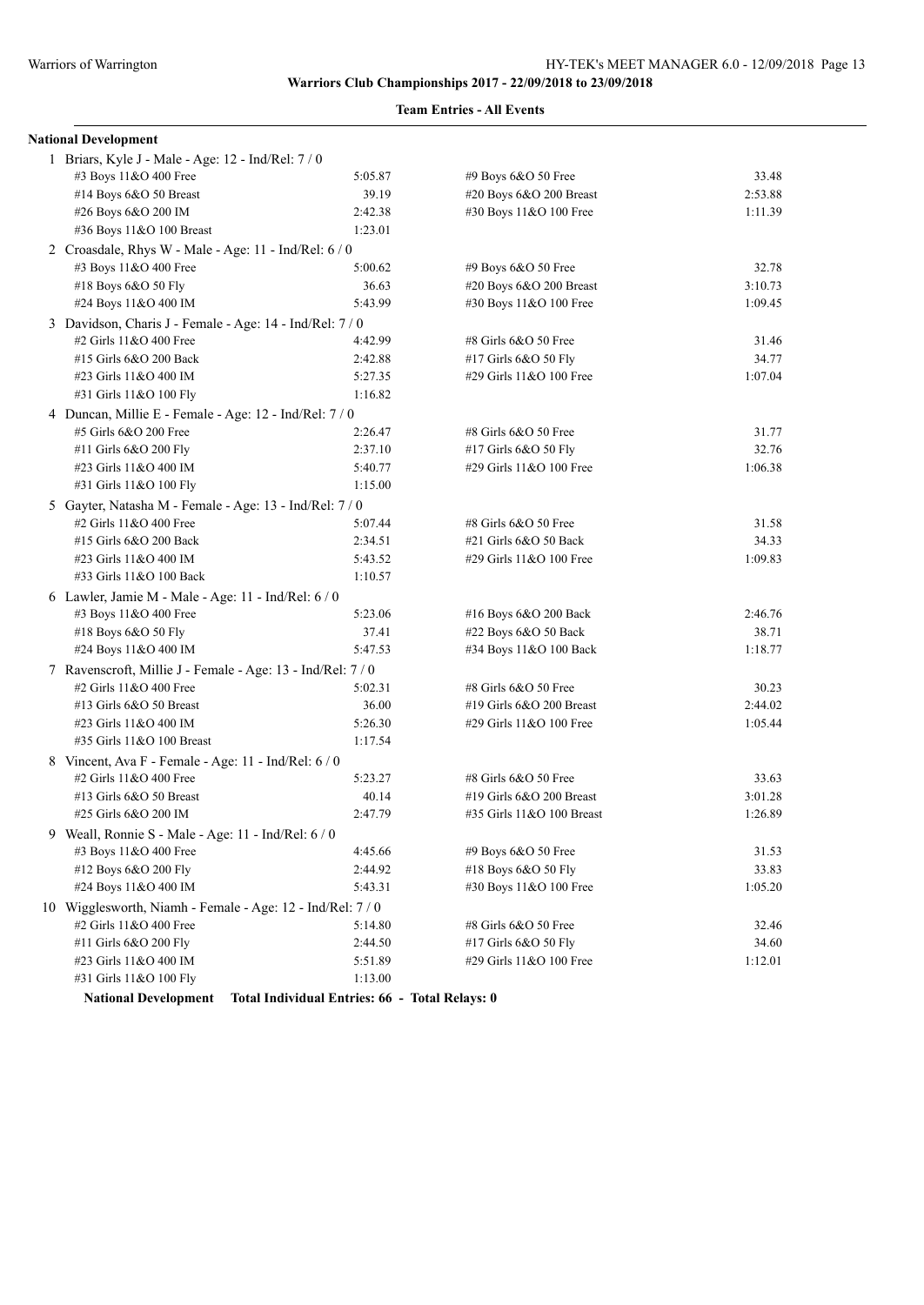### **Team Entries - All Events**

| <b>National Development</b>                                 |         |                           |         |
|-------------------------------------------------------------|---------|---------------------------|---------|
| 1 Briars, Kyle J - Male - Age: 12 - Ind/Rel: 7 / 0          |         |                           |         |
| #3 Boys 11&O 400 Free                                       | 5:05.87 | #9 Boys 6&O 50 Free       | 33.48   |
| #14 Boys 6&O 50 Breast                                      | 39.19   | #20 Boys 6&O 200 Breast   | 2:53.88 |
| #26 Boys 6&O 200 IM                                         | 2:42.38 | #30 Boys 11&O 100 Free    | 1:11.39 |
| #36 Boys 11&O 100 Breast                                    | 1:23.01 |                           |         |
| 2 Croasdale, Rhys W - Male - Age: 11 - Ind/Rel: 6 / 0       |         |                           |         |
| #3 Boys 11&O 400 Free                                       | 5:00.62 | #9 Boys 6&O 50 Free       | 32.78   |
| #18 Boys 6&O 50 Fly                                         | 36.63   | #20 Boys 6&O 200 Breast   | 3:10.73 |
| #24 Boys 11&O 400 IM                                        | 5:43.99 | #30 Boys 11&O 100 Free    | 1:09.45 |
| 3 Davidson, Charis J - Female - Age: 14 - Ind/Rel: 7 / 0    |         |                           |         |
| #2 Girls 11&O 400 Free                                      | 4:42.99 | #8 Girls 6&O 50 Free      | 31.46   |
| #15 Girls 6&O 200 Back                                      | 2:42.88 | #17 Girls 6&O 50 Fly      | 34.77   |
| #23 Girls 11&O 400 IM                                       | 5:27.35 | #29 Girls 11&O 100 Free   | 1:07.04 |
| #31 Girls 11&O 100 Fly                                      | 1:16.82 |                           |         |
| 4 Duncan, Millie E - Female - Age: 12 - Ind/Rel: 7/0        |         |                           |         |
| #5 Girls 6&O 200 Free                                       | 2:26.47 | #8 Girls 6&O 50 Free      | 31.77   |
| #11 Girls 6&O 200 Fly                                       | 2:37.10 | #17 Girls 6&O 50 Fly      | 32.76   |
| #23 Girls 11&O 400 IM                                       | 5:40.77 | #29 Girls 11&O 100 Free   | 1:06.38 |
| #31 Girls 11&O 100 Fly                                      | 1:15.00 |                           |         |
| 5 Gayter, Natasha M - Female - Age: 13 - Ind/Rel: 7 / 0     |         |                           |         |
| #2 Girls 11&O 400 Free                                      | 5:07.44 | #8 Girls 6&O 50 Free      | 31.58   |
| #15 Girls 6&O 200 Back                                      | 2:34.51 | $#21$ Girls $6&O$ 50 Back | 34.33   |
| #23 Girls 11&O 400 IM                                       | 5:43.52 | #29 Girls 11&O 100 Free   | 1:09.83 |
| #33 Girls 11&O 100 Back                                     | 1:10.57 |                           |         |
| 6 Lawler, Jamie M - Male - Age: 11 - Ind/Rel: 6 / 0         |         |                           |         |
| #3 Boys 11&O 400 Free                                       | 5:23.06 | #16 Boys $6&O$ 200 Back   | 2:46.76 |
| #18 Boys 6&O 50 Fly                                         | 37.41   | #22 Boys 6&O 50 Back      | 38.71   |
| #24 Boys 11&O 400 IM                                        | 5:47.53 | #34 Boys 11&O 100 Back    | 1:18.77 |
| 7 Ravenscroft, Millie J - Female - Age: 13 - Ind/Rel: 7 / 0 |         |                           |         |
| #2 Girls 11&O 400 Free                                      | 5:02.31 | #8 Girls 6&O 50 Free      | 30.23   |
| #13 Girls 6&O 50 Breast                                     | 36.00   | #19 Girls 6&O 200 Breast  | 2:44.02 |
| #23 Girls 11&O 400 IM                                       | 5:26.30 | #29 Girls 11&O 100 Free   | 1:05.44 |
| #35 Girls 11&O 100 Breast                                   | 1:17.54 |                           |         |
| 8 Vincent, Ava F - Female - Age: 11 - Ind/Rel: 6 / 0        |         |                           |         |
| #2 Girls 11&O 400 Free                                      | 5:23.27 | #8 Girls 6&O 50 Free      | 33.63   |
| #13 Girls 6&O 50 Breast                                     | 40.14   | #19 Girls 6&O 200 Breast  | 3:01.28 |
| #25 Girls 6&O 200 IM                                        | 2:47.79 | #35 Girls 11&O 100 Breast | 1:26.89 |
| Weall, Ronnie S - Male - Age: 11 - Ind/Rel: 6 / 0           |         |                           |         |
| #3 Boys 11&O 400 Free                                       | 4:45.66 | #9 Boys 6&O 50 Free       | 31.53   |
| #12 Boys 6&O 200 Fly                                        | 2:44.92 | #18 Boys 6&O 50 Fly       | 33.83   |
| #24 Boys 11&O 400 IM                                        | 5:43.31 | #30 Boys 11&O 100 Free    | 1:05.20 |
| 10 Wigglesworth, Niamh - Female - Age: 12 - Ind/Rel: 7 / 0  |         |                           |         |
| #2 Girls 11&O 400 Free                                      | 5:14.80 | #8 Girls 6&O 50 Free      | 32.46   |
| #11 Girls 6&O 200 Fly                                       | 2:44.50 | #17 Girls 6&O 50 Fly      | 34.60   |
| #23 Girls 11&O 400 IM                                       | 5:51.89 | #29 Girls 11&O 100 Free   | 1:12.01 |
| #31 Girls 11&O 100 Fly                                      | 1:13.00 |                           |         |

**National Development Total Individual Entries: 66 - Total Relays: 0**